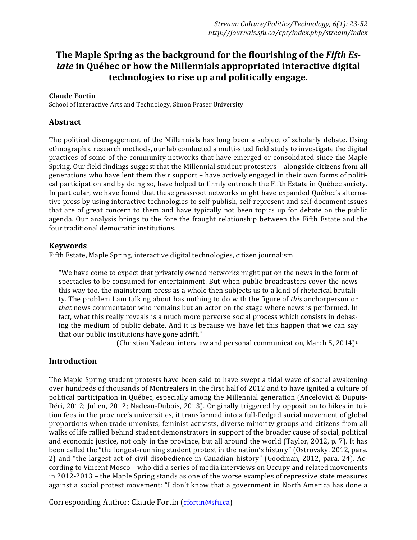# **The Maple Spring as the background for the flourishing of the Fifth Es***tate* in Ouébec or how the Millennials appropriated interactive digital **technologies to rise up and politically engage.**

## **Claude Fortin**

School of Interactive Arts and Technology, Simon Fraser University

# **Abstract**

The political disengagement of the Millennials has long been a subject of scholarly debate. Using ethnographic research methods, our lab conducted a multi-sited field study to investigate the digital practices of some of the community networks that have emerged or consolidated since the Maple Spring. Our field findings suggest that the Millennial student protesters - alongside citizens from all generations who have lent them their support – have actively engaged in their own forms of political participation and by doing so, have helped to firmly entrench the Fifth Estate in Québec society. In particular, we have found that these grassroot networks might have expanded Québec's alternative press by using interactive technologies to self-publish, self-represent and self-document issues that are of great concern to them and have typically not been topics up for debate on the public agenda. Our analysis brings to the fore the fraught relationship between the Fifth Estate and the four traditional democratic institutions.

### **Keywords**

Fifth Estate, Maple Spring, interactive digital technologies, citizen journalism

"We have come to expect that privately owned networks might put on the news in the form of spectacles to be consumed for entertainment. But when public broadcasters cover the news this way too, the mainstream press as a whole then subjects us to a kind of rhetorical brutality. The problem I am talking about has nothing to do with the figure of *this* anchorperson or *that* news commentator who remains but an actor on the stage where news is performed. In fact, what this really reveals is a much more perverse social process which consists in debasing the medium of public debate. And it is because we have let this happen that we can say that our public institutions have gone adrift."

(Christian Nadeau, interview and personal communication, March 5, 2014)<sup>1</sup>

# **Introduction**

The Maple Spring student protests have been said to have swept a tidal wave of social awakening over hundreds of thousands of Montrealers in the first half of 2012 and to have ignited a culture of political participation in Québec, especially among the Millennial generation (Ancelovici & Dupuis-Déri, 2012; Julien, 2012; Nadeau-Dubois, 2013). Originally triggered by opposition to hikes in tuition fees in the province's universities, it transformed into a full-fledged social movement of global proportions when trade unionists, feminist activists, diverse minority groups and citizens from all walks of life rallied behind student demonstrators in support of the broader cause of social, political and economic justice, not only in the province, but all around the world (Taylor, 2012, p. 7). It has been called the "the longest-running student protest in the nation's history" (Ostrovsky, 2012, para. 2) and "the largest act of civil disobedience in Canadian history" (Goodman, 2012, para. 24). According to Vincent Mosco – who did a series of media interviews on Occupy and related movements in 2012-2013 – the Maple Spring stands as one of the worse examples of repressive state measures against a social protest movement: "I don't know that a government in North America has done a

Corresponding Author: Claude Fortin (cfortin@sfu.ca)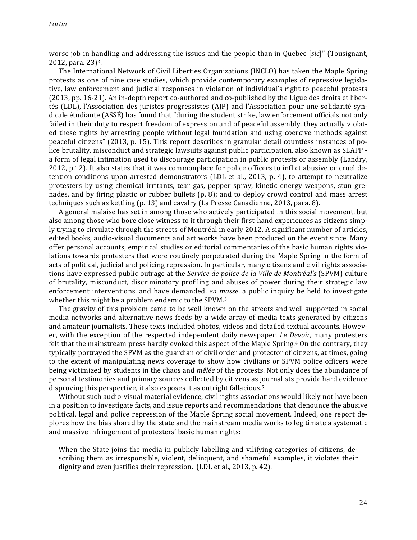worse job in handling and addressing the issues and the people than in Quebec [*sic*]" (Tousignant,  $2012$ , para.  $23$ <sup>2</sup>.

The International Network of Civil Liberties Organizations (INCLO) has taken the Maple Spring protests as one of nine case studies, which provide contemporary examples of repressive legislative, law enforcement and judicial responses in violation of individual's right to peaceful protests (2013, pp. 16-21). An in-depth report co-authored and co-published by the Ligue des droits et libertés (LDL), l'Association des juristes progressistes (AJP) and l'Association pour une solidarité syndicale étudiante (ASSÉ) has found that "during the student strike, law enforcement officials not only failed in their duty to respect freedom of expression and of peaceful assembly, they actually violated these rights by arresting people without legal foundation and using coercive methods against peaceful citizens" (2013, p. 15). This report describes in granular detail countless instances of police brutality, misconduct and strategic lawsuits against public participation, also known as SLAPP a form of legal intimation used to discourage participation in public protests or assembly (Landry, 2012, p.12). It also states that it was commonplace for police officers to inflict abusive or cruel detention conditions upon arrested demonstrators (LDL et al.,  $2013$ , p. 4), to attempt to neutralize protesters by using chemical irritants, tear gas, pepper spray, kinetic energy weapons, stun grenades, and by firing plastic or rubber bullets  $(p. 8)$ ; and to deploy crowd control and mass arrest techniques such as kettling  $(p. 13)$  and cavalry  $(La$  Presse Canadienne, 2013, para. 8).

A general malaise has set in among those who actively participated in this social movement, but also among those who bore close witness to it through their first-hand experiences as citizens simply trying to circulate through the streets of Montréal in early 2012. A significant number of articles, edited books, audio-visual documents and art works have been produced on the event since. Many offer personal accounts, empirical studies or editorial commentaries of the basic human rights violations towards protesters that were routinely perpetrated during the Maple Spring in the form of acts of political, judicial and policing repression. In particular, many citizens and civil rights associations have expressed public outrage at the *Service de police de la Ville de Montréal's* (SPVM) culture of brutality, misconduct, discriminatory profiling and abuses of power during their strategic law enforcement interventions, and have demanded, en masse, a public inquiry be held to investigate whether this might be a problem endemic to the SPVM.<sup>3</sup>

The gravity of this problem came to be well known on the streets and well supported in social media networks and alternative news feeds by a wide array of media texts generated by citizens and amateur journalists. These texts included photos, videos and detailed textual accounts. However, with the exception of the respected independent daily newspaper, *Le Devoir*, many protesters felt that the mainstream press hardly evoked this aspect of the Maple Spring.<sup>4</sup> On the contrary, they typically portrayed the SPVM as the guardian of civil order and protector of citizens, at times, going to the extent of manipulating news coverage to show how civilians or SPVM police officers were being victimized by students in the chaos and *mêlée* of the protests. Not only does the abundance of personal testimonies and primary sources collected by citizens as journalists provide hard evidence disproving this perspective, it also exposes it as outright fallacious.<sup>5</sup>

Without such audio-visual material evidence, civil rights associations would likely not have been in a position to investigate facts, and issue reports and recommendations that denounce the abusive political, legal and police repression of the Maple Spring social movement. Indeed, one report deplores how the bias shared by the state and the mainstream media works to legitimate a systematic and massive infringement of protesters' basic human rights:

When the State joins the media in publicly labelling and vilifying categories of citizens, describing them as irresponsible, violent, delinquent, and shameful examples, it violates their dignity and even justifies their repression. (LDL et al., 2013, p. 42).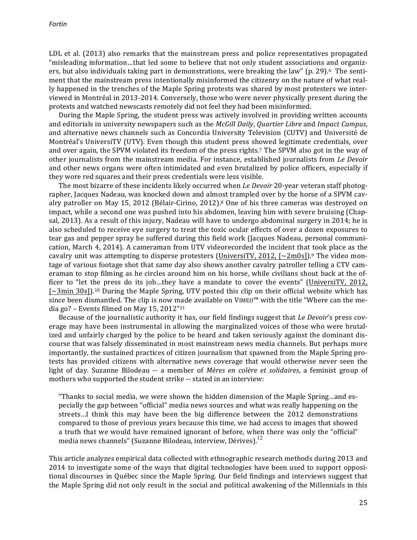LDL et al. (2013) also remarks that the mainstream press and police representatives propagated "misleading information...that led some to believe that not only student associations and organizers, but also individuals taking part in demonstrations, were breaking the law" (p. 29).<sup>6</sup> The sentiment that the mainstream press intentionally misinformed the citizenry on the nature of what really happened in the trenches of the Maple Spring protests was shared by most protesters we interviewed in Montréal in 2013-2014. Conversely, those who were never physically present during the protests and watched newscasts remotely did not feel they had been misinformed.

During the Maple Spring, the student press was actively involved in providing written accounts and editorials in university newspapers such as the *McGill Daily*, *Quartier Libre* and *Impact Campus*, and alternative news channels such as Concordia University Television (CUTV) and Université de Montréal's UniversiTV (UTV). Even though this student press showed legitimate credentials, over and over again, the SPVM violated its freedom of the press rights.<sup>7</sup> The SPVM also got in the way of other journalists from the mainstream media. For instance, established journalists from *Le Devoir* and other news organs were often intimidated and even brutalized by police officers, especially if they wore red squares and their press credentials were less visible.

The most bizarre of these incidents likely occurred when *Le Devoir* 20-year veteran staff photographer, Jacques Nadeau, was knocked down and almost trampled over by the horse of a SPVM cavalry patroller on May 15, 2012 (Bélair-Cirino, 2012).<sup>8</sup> One of his three cameras was destroyed on impact, while a second one was pushed into his abdomen, leaving him with severe bruising (Chapsal, 2013). As a result of this injury, Nadeau will have to undergo abdominal surgery in 2014; he is also scheduled to receive eye surgery to treat the toxic ocular effects of over a dozen exposures to tear gas and pepper spray he suffered during this field work (Jacques Nadeau, personal communication, March 4, 2014). A cameraman from UTV videorecorded the incident that took place as the cavalry unit was attempting to disperse protesters (UniversiTV, 2012,  $\lceil \sim 2 \text{m0s} \rceil$ ).<sup>9</sup> The video montage of various footage shot that same day also shows another cavalry patroller telling a CTV cameraman to stop filming as he circles around him on his horse, while civilians shout back at the officer to "let the press do its job...they have a mandate to cover the events" (UniversiTV, 2012,  $[-3$ min  $30$ s]).<sup>10</sup> During the Maple Spring, UTV posted this clip on their official website which has since been dismantled. The clip is now made available on VIMEO™ with the title "Where can the media go? – Events filmed on May 15, 2012" $11$ 

Because of the journalistic authority it has, our field findings suggest that *Le Devoir's* press coverage may have been instrumental in allowing the marginalized voices of those who were brutalized and unfairly charged by the police to be heard and taken seriously against the dominant discourse that was falsely disseminated in most mainstream news media channels. But perhaps more importantly, the sustained practices of citizen journalism that spawned from the Maple Spring protests has provided citizens with alternative news coverage that would otherwise never seen the light of day. Suzanne Bilodeau -- a member of *Mères en colère et solidaires*, a feminist group of mothers who supported the student strike -- stated in an interview:

"Thanks to social media, we were shown the hidden dimension of the Maple Spring...and especially the gap between "official" media news sources and what was really happening on the streets...I think this may have been the big difference between the 2012 demonstrations compared to those of previous years because this time, we had access to images that showed a truth that we would have remained ignorant of before, when there was only the "official" media news channels" (Suzanne Bilodeau, interview, Dérives).<sup>12</sup>

This article analyzes empirical data collected with ethnographic research methods during 2013 and 2014 to investigate some of the ways that digital technologies have been used to support oppositional discourses in Québec since the Maple Spring. Our field findings and interviews suggest that the Maple Spring did not only result in the social and political awakening of the Millennials in this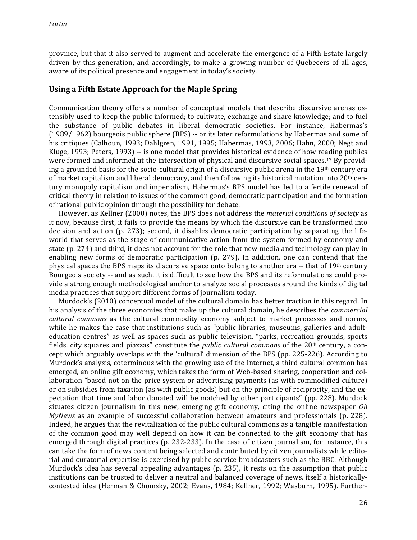province, but that it also served to augment and accelerate the emergence of a Fifth Estate largely driven by this generation, and accordingly, to make a growing number of Quebecers of all ages, aware of its political presence and engagement in today's society.

# **Using a Fifth Estate Approach for the Maple Spring**

Communication theory offers a number of conceptual models that describe discursive arenas ostensibly used to keep the public informed; to cultivate, exchange and share knowledge; and to fuel the substance of public debates in liberal democratic societies. For instance, Habermas's  $(1989/1962)$  bourgeois public sphere  $(BPS)$  -- or its later reformulations by Habermas and some of his critiques (Calhoun, 1993; Dahlgren, 1991, 1995; Habermas, 1993, 2006; Hahn, 2000; Negt and Kluge, 1993; Peters, 1993) -- is one model that provides historical evidence of how reading publics were formed and informed at the intersection of physical and discursive social spaces.<sup>13</sup> By providing a grounded basis for the socio-cultural origin of a discursive public arena in the  $19<sup>th</sup>$  century era of market capitalism and liberal democracy, and then following its historical mutation into  $20<sup>th</sup>$  century monopoly capitalism and imperialism, Habermas's BPS model has led to a fertile renewal of critical theory in relation to issues of the common good, democratic participation and the formation of rational public opinion through the possibility for debate.

However, as Kellner (2000) notes, the BPS does not address the *material conditions of society* as it now, because first, it fails to provide the means by which the discursive can be transformed into decision and action  $(p. 273)$ ; second, it disables democratic participation by separating the lifeworld that serves as the stage of communicative action from the system formed by economy and state (p. 274) and third, it does not account for the role that new media and technology can play in enabling new forms of democratic participation  $(p. 279)$ . In addition, one can contend that the physical spaces the BPS maps its discursive space onto belong to another era  $-$  that of 19<sup>th</sup> century Bourgeois society -- and as such, it is difficult to see how the BPS and its reformulations could provide a strong enough methodological anchor to analyze social processes around the kinds of digital media practices that support different forms of journalism today.

Murdock's (2010) conceptual model of the cultural domain has better traction in this regard. In his analysis of the three economies that make up the cultural domain, he describes the *commercial cultural commons* as the cultural commodity economy subject to market processes and norms, while he makes the case that institutions such as "public libraries, museums, galleries and adulteducation centres" as well as spaces such as public television, "parks, recreation grounds, sports fields, city squares and piazzas" constitute the *public cultural commons* of the 20<sup>th</sup> century, a concept which arguably overlaps with the 'cultural' dimension of the BPS (pp. 225-226). According to Murdock's analysis, coterminous with the growing use of the Internet, a third cultural common has emerged, an online gift economy, which takes the form of Web-based sharing, cooperation and collaboration "based not on the price system or advertising payments (as with commodified culture) or on subsidies from taxation (as with public goods) but on the principle of reciprocity, and the expectation that time and labor donated will be matched by other participants" (pp. 228). Murdock situates citizen journalism in this new, emerging gift economy, citing the online newspaper *Oh MyNews* as an example of successful collaboration between amateurs and professionals (p. 228). Indeed, he argues that the revitalization of the public cultural commons as a tangible manifestation of the common good may well depend on how it can be connected to the gift economy that has emerged through digital practices (p. 232-233). In the case of citizen journalism, for instance, this can take the form of news content being selected and contributed by citizen journalists while editorial and curatorial expertise is exercised by public-service broadcasters such as the BBC. Although Murdock's idea has several appealing advantages (p. 235), it rests on the assumption that public institutions can be trusted to deliver a neutral and balanced coverage of news, itself a historicallycontested idea (Herman & Chomsky, 2002; Evans, 1984; Kellner, 1992; Wasburn, 1995). Further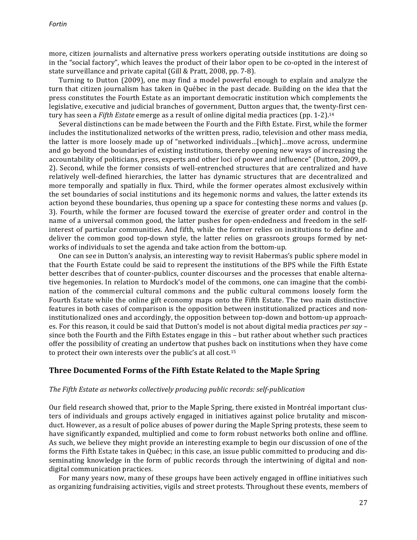more, citizen journalists and alternative press workers operating outside institutions are doing so in the "social factory", which leaves the product of their labor open to be co-opted in the interest of state surveillance and private capital (Gill & Pratt, 2008, pp. 7-8).

Turning to Dutton (2009), one may find a model powerful enough to explain and analyze the turn that citizen journalism has taken in Québec in the past decade. Building on the idea that the press constitutes the Fourth Estate as an important democratic institution which complements the legislative, executive and judicial branches of government, Dutton argues that, the twenty-first century has seen a *Fifth Estate* emerge as a result of online digital media practices (pp. 1-2).<sup>14</sup>

Several distinctions can be made between the Fourth and the Fifth Estate. First, while the former includes the institutionalized networks of the written press, radio, television and other mass media, the latter is more loosely made up of "networked individuals...[which]...move across, undermine and go beyond the boundaries of existing institutions, thereby opening new ways of increasing the accountability of politicians, press, experts and other loci of power and influence" (Dutton, 2009, p. 2). Second, while the former consists of well-entrenched structures that are centralized and have relatively well-defined hierarchies, the latter has dynamic structures that are decentralized and more temporally and spatially in flux. Third, while the former operates almost exclusively within the set boundaries of social institutions and its hegemonic norms and values, the latter extends its action beyond these boundaries, thus opening up a space for contesting these norms and values (p. 3). Fourth, while the former are focused toward the exercise of greater order and control in the name of a universal common good, the latter pushes for open-endedness and freedom in the selfinterest of particular communities. And fifth, while the former relies on institutions to define and deliver the common good top-down style, the latter relies on grassroots groups formed by networks of individuals to set the agenda and take action from the bottom-up.

One can see in Dutton's analysis, an interesting way to revisit Habermas's public sphere model in that the Fourth Estate could be said to represent the institutions of the BPS while the Fifth Estate better describes that of counter-publics, counter discourses and the processes that enable alternative hegemonies. In relation to Murdock's model of the commons, one can imagine that the combination of the commercial cultural commons and the public cultural commons loosely form the Fourth Estate while the online gift economy maps onto the Fifth Estate. The two main distinctive features in both cases of comparison is the opposition between institutionalized practices and noninstitutionalized ones and accordingly, the opposition between top-down and bottom-up approaches. For this reason, it could be said that Dutton's model is not about digital media practices *per say* – since both the Fourth and the Fifth Estates engage in this - but rather about whether such practices offer the possibility of creating an undertow that pushes back on institutions when they have come to protect their own interests over the public's at all cost.<sup>15</sup>

### **Three Documented Forms of the Fifth Estate Related to the Maple Spring**

#### The Fifth Estate as networks collectively producing public records: self-publication

Our field research showed that, prior to the Maple Spring, there existed in Montréal important clusters of individuals and groups actively engaged in initiatives against police brutality and misconduct. However, as a result of police abuses of power during the Maple Spring protests, these seem to have significantly expanded, multiplied and come to form robust networks both online and offline. As such, we believe they might provide an interesting example to begin our discussion of one of the forms the Fifth Estate takes in Québec; in this case, an issue public committed to producing and disseminating knowledge in the form of public records through the intertwining of digital and nondigital communication practices.

For many years now, many of these groups have been actively engaged in offline initiatives such as organizing fundraising activities, vigils and street protests. Throughout these events, members of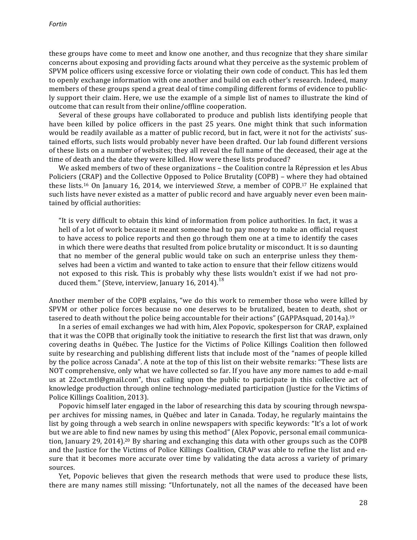these groups have come to meet and know one another, and thus recognize that they share similar concerns about exposing and providing facts around what they perceive as the systemic problem of SPVM police officers using excessive force or violating their own code of conduct. This has led them to openly exchange information with one another and build on each other's research. Indeed, many members of these groups spend a great deal of time compiling different forms of evidence to publicly support their claim. Here, we use the example of a simple list of names to illustrate the kind of outcome that can result from their online/offline cooperation.

Several of these groups have collaborated to produce and publish lists identifying people that have been killed by police officers in the past 25 years. One might think that such information would be readily available as a matter of public record, but in fact, were it not for the activists' sustained efforts, such lists would probably never have been drafted. Our lab found different versions of these lists on a number of websites; they all reveal the full name of the deceased, their age at the time of death and the date they were killed. How were these lists produced?

We asked members of two of these organizations – the Coalition contre la Répression et les Abus Policiers (CRAP) and the Collective Opposed to Police Brutality (COPB) – where they had obtained these lists.<sup>16</sup> On January 16, 2014, we interviewed *Steve*, a member of COPB.<sup>17</sup> He explained that such lists have never existed as a matter of public record and have arguably never even been maintained by official authorities:

"It is very difficult to obtain this kind of information from police authorities. In fact, it was a hell of a lot of work because it meant someone had to pay money to make an official request to have access to police reports and then go through them one at a time to identify the cases in which there were deaths that resulted from police brutality or misconduct. It is so daunting that no member of the general public would take on such an enterprise unless they themselves had been a victim and wanted to take action to ensure that their fellow citizens would not exposed to this risk. This is probably why these lists wouldn't exist if we had not produced them." (Steve, interview, January 16, 2014).<sup>18</sup>

Another member of the COPB explains, "we do this work to remember those who were killed by SPVM or other police forces because no one deserves to be brutalized, beaten to death, shot or tasered to death without the police being accountable for their actions" (GAPPAsquad, 2014a).<sup>19</sup>

In a series of email exchanges we had with him, Alex Popovic, spokesperson for CRAP, explained that it was the COPB that originally took the initiative to research the first list that was drawn, only covering deaths in Québec. The Justice for the Victims of Police Killings Coalition then followed suite by researching and publishing different lists that include most of the "names of people killed by the police across Canada". A note at the top of this list on their website remarks: "These lists are NOT comprehensive, only what we have collected so far. If you have any more names to add e-mail us at 22oct.mtl@gmail.com", thus calling upon the public to participate in this collective act of knowledge production through online technology-mediated participation (Justice for the Victims of Police Killings Coalition, 2013).

Popovic himself later engaged in the labor of researching this data by scouring through newspaper archives for missing names, in Québec and later in Canada. Today, he regularly maintains the list by going through a web search in online newspapers with specific keywords: "It's a lot of work but we are able to find new names by using this method" (Alex Popovic, personal email communication, January 29, 2014).<sup>20</sup> By sharing and exchanging this data with other groups such as the COPB and the Justice for the Victims of Police Killings Coalition, CRAP was able to refine the list and ensure that it becomes more accurate over time by validating the data across a variety of primary sources. 

Yet, Popovic believes that given the research methods that were used to produce these lists, there are many names still missing: "Unfortunately, not all the names of the deceased have been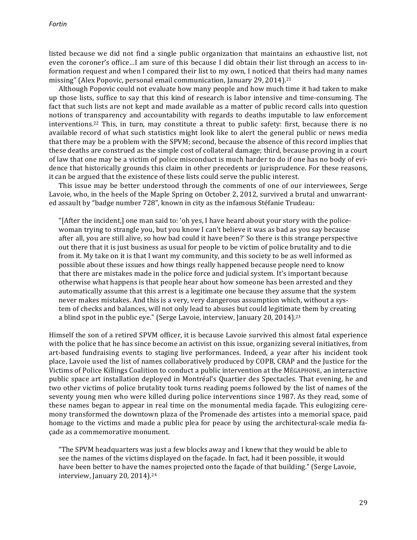listed because we did not find a single public organization that maintains an exhaustive list, not even the coroner's office...I am sure of this because I did obtain their list through an access to information request and when I compared their list to my own, I noticed that theirs had many names missing" (Alex Popovic, personal email communication, January 29, 2014).<sup>21</sup>

Although Popovic could not evaluate how many people and how much time it had taken to make up those lists, suffice to say that this kind of research is labor intensive and time-consuming. The fact that such lists are not kept and made available as a matter of public record calls into question notions of transparency and accountability with regards to deaths imputable to law enforcement interventions.<sup>22</sup> This, in turn, may constitute a threat to public safety: first, because there is no available record of what such statistics might look like to alert the general public or news media that there may be a problem with the SPVM; second, because the absence of this record implies that these deaths are construed as the simple cost of collateral damage; third, because proving in a court of law that one may be a victim of police misconduct is much harder to do if one has no body of evidence that historically grounds this claim in other precedents or jurisprudence. For these reasons, it can be argued that the existence of these lists could serve the public interest.

This issue may be better understood through the comments of one of our interviewees, Serge Lavoie, who, in the heels of the Maple Spring on October 2, 2012, survived a brutal and unwarranted assault by "badge number 728", known in city as the infamous Stéfanie Trudeau:

"[After the incident,] one man said to: 'oh yes, I have heard about your story with the policewoman trying to strangle you, but you know I can't believe it was as bad as you say because after all, you are still alive, so how bad could it have been?' So there is this strange perspective out there that it is just business as usual for people to be victim of police brutality and to die from it. My take on it is that I want my community, and this society to be as well informed as possible about these issues and how things really happened because people need to know that there are mistakes made in the police force and judicial system. It's important because otherwise what happens is that people hear about how someone has been arrested and they automatically assume that this arrest is a legitimate one because they assume that the system never makes mistakes. And this is a very, very dangerous assumption which, without a system of checks and balances, will not only lead to abuses but could legitimate them by creating a blind spot in the public eye." (Serge Lavoie, interview, January 20, 2014).<sup>23</sup>

Himself the son of a retired SPVM officer, it is because Lavoie survived this almost fatal experience with the police that he has since become an activist on this issue, organizing several initiatives, from art-based fundraising events to staging live performances. Indeed, a year after his incident took place, Lavoie used the list of names collaboratively produced by COPB, CRAP and the Justice for the Victims of Police Killings Coalition to conduct a public intervention at the MÉGAPHONE, an interactive public space art installation deployed in Montréal's Quartier des Spectacles. That evening, he and two other victims of police brutality took turns reading poems followed by the list of names of the seventy young men who were killed during police interventions since 1987. As they read, some of these names began to appear in real time on the monumental media façade. This eulogizing ceremony transformed the downtown plaza of the Promenade des artistes into a memorial space, paid homage to the victims and made a public plea for peace by using the architectural-scale media facade as a commemorative monument.

"The SPVM headquarters was just a few blocks away and I knew that they would be able to see the names of the victims displayed on the facade. In fact, had it been possible, it would have been better to have the names projected onto the façade of that building." (Serge Lavoie, interview, January 20, 2014).<sup>24</sup>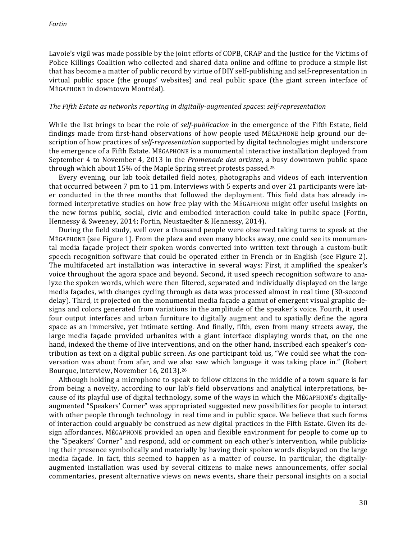Lavoie's vigil was made possible by the joint efforts of COPB, CRAP and the Justice for the Victims of Police Killings Coalition who collected and shared data online and offline to produce a simple list that has become a matter of public record by virtue of DIY self-publishing and self-representation in virtual public space (the groups' websites) and real public space (the giant screen interface of MÉGAPHONE in downtown Montréal).

#### The Fifth Estate as networks reporting in digitally-augmented spaces: self-representation

While the list brings to bear the role of *self-publication* in the emergence of the Fifth Estate, field findings made from first-hand observations of how people used MÉGAPHONE help ground our description of how practices of *self-representation* supported by digital technologies might underscore the emergence of a Fifth Estate. MÉGAPHONE is a monumental interactive installation deployed from September 4 to November 4, 2013 in the *Promenade des artistes*, a busy downtown public space through which about  $15\%$  of the Maple Spring street protests passed.<sup>25</sup>

Every evening, our lab took detailed field notes, photographs and videos of each intervention that occurred between  $7$  pm to  $11$  pm. Interviews with  $5$  experts and over  $21$  participants were later conducted in the three months that followed the deployment. This field data has already informed interpretative studies on how free play with the MÉGAPHONE might offer useful insights on the new forms public, social, civic and embodied interaction could take in public space (Fortin, Hennessy & Sweeney, 2014; Fortin, Neustaedter & Hennessy, 2014).

During the field study, well over a thousand people were observed taking turns to speak at the MÉGAPHONE (see Figure 1). From the plaza and even many blocks away, one could see its monumental media façade project their spoken words converted into written text through a custom-built speech recognition software that could be operated either in French or in English (see Figure 2). The multifaceted art installation was interactive in several ways: First, it amplified the speaker's voice throughout the agora space and beyond. Second, it used speech recognition software to analyze the spoken words, which were then filtered, separated and individually displayed on the large media façades, with changes cycling through as data was processed almost in real time (30-second delay). Third, it projected on the monumental media façade a gamut of emergent visual graphic designs and colors generated from variations in the amplitude of the speaker's voice. Fourth, it used four output interfaces and urban furniture to digitally augment and to spatially define the agora space as an immersive, yet intimate setting. And finally, fifth, even from many streets away, the large media façade provided urbanites with a giant interface displaying words that, on the one hand, indexed the theme of live interventions, and on the other hand, inscribed each speaker's contribution as text on a digital public screen. As one participant told us, "We could see what the conversation was about from afar, and we also saw which language it was taking place in." (Robert Bourque, interview, November 16, 2013).<sup>26</sup>

Although holding a microphone to speak to fellow citizens in the middle of a town square is far from being a novelty, according to our lab's field observations and analytical interpretations, because of its playful use of digital technology, some of the ways in which the MÉGAPHONE's digitallyaugmented "Speakers' Corner" was appropriated suggested new possibilities for people to interact with other people through technology in real time and in public space. We believe that such forms of interaction could arguably be construed as new digital practices in the Fifth Estate. Given its design affordances, MÉGAPHONE provided an open and flexible environment for people to come up to the "Speakers' Corner" and respond, add or comment on each other's intervention, while publicizing their presence symbolically and materially by having their spoken words displayed on the large media façade. In fact, this seemed to happen as a matter of course. In particular, the digitallyaugmented installation was used by several citizens to make news announcements, offer social commentaries, present alternative views on news events, share their personal insights on a social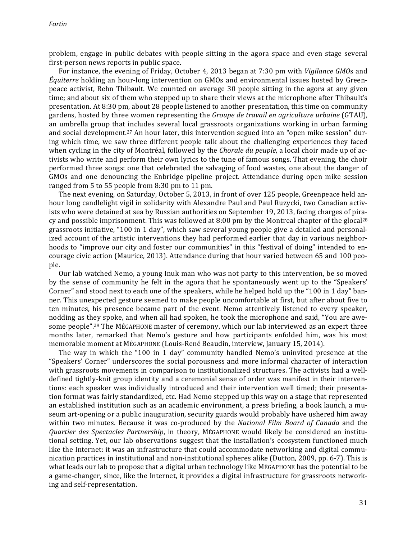problem, engage in public debates with people sitting in the agora space and even stage several first-person news reports in public space.

For instance, the evening of Friday, October 4, 2013 began at 7:30 pm with *Vigilance GMOs* and *Équiterre* holding an hour-long intervention on GMOs and environmental issues hosted by Greenpeace activist, Rehn Thibault. We counted on average 30 people sitting in the agora at any given time; and about six of them who stepped up to share their views at the microphone after Thibault's presentation. At 8:30 pm, about 28 people listened to another presentation, this time on community gardens, hosted by three women representing the *Groupe de travail en agriculture urbaine* (GTAU), an umbrella group that includes several local grassroots organizations working in urban farming and social development.<sup>27</sup> An hour later, this intervention segued into an "open mike session" during which time, we saw three different people talk about the challenging experiences they faced when cycling in the city of Montréal, followed by the *Chorale du peuple*, a local choir made up of activists who write and perform their own lyrics to the tune of famous songs. That evening, the choir performed three songs: one that celebrated the salvaging of food wastes, one about the danger of GMOs and one denouncing the Enbridge pipeline project. Attendance during open mike session ranged from  $5$  to  $55$  people from  $8:30$  pm to  $11$  pm.

The next evening, on Saturday, October 5, 2013, in front of over 125 people, Greenpeace held anhour long candlelight vigil in solidarity with Alexandre Paul and Paul Ruzycki, two Canadian activists who were detained at sea by Russian authorities on September 19, 2013, facing charges of piracy and possible imprisonment. This was followed at  $8:00$  pm by the Montreal chapter of the glocal<sup>28</sup> grassroots initiative, "100 in 1 day", which saw several young people give a detailed and personalized account of the artistic interventions they had performed earlier that day in various neighborhoods to "improve our city and foster our communities" in this "festival of doing" intended to encourage civic action (Maurice, 2013). Attendance during that hour varied between 65 and 100 people. 

Our lab watched Nemo, a young Inuk man who was not party to this intervention, be so moved by the sense of community he felt in the agora that he spontaneously went up to the "Speakers' Corner" and stood next to each one of the speakers, while he helped hold up the "100 in 1 day" banner. This unexpected gesture seemed to make people uncomfortable at first, but after about five to ten minutes, his presence became part of the event. Nemo attentively listened to every speaker, nodding as they spoke, and when all had spoken, he took the microphone and said, "You are awesome people".<sup>29</sup> The MÉGAPHONE master of ceremony, which our lab interviewed as an expert three months later, remarked that Nemo's gesture and how participants enfolded him, was his most memorable moment at MÉGAPHONE (Louis-René Beaudin, interview, January 15, 2014).

The way in which the "100 in 1 day" community handled Nemo's uninvited presence at the "Speakers' Corner" underscores the social porousness and more informal character of interaction with grassroots movements in comparison to institutionalized structures. The activists had a welldefined tightly-knit group identity and a ceremonial sense of order was manifest in their interventions: each speaker was individually introduced and their intervention well timed; their presentation format was fairly standardized, etc. Had Nemo stepped up this way on a stage that represented an established institution such as an academic environment, a press briefing, a book launch, a museum art-opening or a public inauguration, security guards would probably have ushered him away within two minutes. Because it was co-produced by the *National Film Board of Canada* and the *Quartier des Spectacles Partnership*, in theory, MÉGAPHONE would likely be considered an institutional setting. Yet, our lab observations suggest that the installation's ecosystem functioned much like the Internet: it was an infrastructure that could accommodate networking and digital communication practices in institutional and non-institutional spheres alike (Dutton, 2009, pp. 6-7). This is what leads our lab to propose that a digital urban technology like MÉGAPHONE has the potential to be a game-changer, since, like the Internet, it provides a digital infrastructure for grassroots networking and self-representation.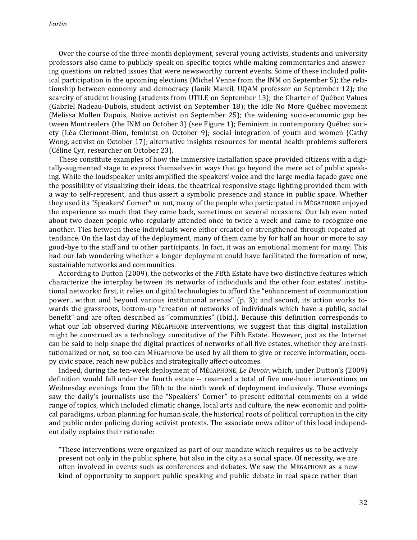Over the course of the three-month deployment, several young activists, students and university professors also came to publicly speak on specific topics while making commentaries and answering questions on related issues that were newsworthy current events. Some of these included political participation in the upcoming elections (Michel Venne from the INM on September 5); the relationship between economy and democracy (Ianik Marcil, UQAM professor on September 12); the scarcity of student housing (students from UTILE on September 13); the Charter of Québec Values (Gabriel Nadeau-Dubois, student activist on September 18); the Idle No More Québec movement (Melissa Mollen Dupuis, Native activist on September 25); the widening socio-economic gap between Montrealers (the INM on October 3) (see Figure 1); Feminism in contemporary Québec society (Léa Clermont-Dion, feminist on October 9); social integration of youth and women (Cathy Wong, activist on October 17); alternative insights resources for mental health problems sufferers (Céline Cyr, researcher on October 23).

These constitute examples of how the immersive installation space provided citizens with a digitally-augmented stage to express themselves in ways that go beyond the mere act of public speaking. While the loudspeaker units amplified the speakers' voice and the large media façade gave one the possibility of visualizing their ideas, the theatrical responsive stage lighting provided them with a way to self-represent, and thus assert a symbolic presence and stance in public space. Whether they used its "Speakers' Corner" or not, many of the people who participated in MÉGAPHONE enjoyed the experience so much that they came back, sometimes on several occasions. Our lab even noted about two dozen people who regularly attended once to twice a week and came to recognize one another. Ties between these individuals were either created or strengthened through repeated attendance. On the last day of the deployment, many of them came by for half an hour or more to say good-bye to the staff and to other participants. In fact, it was an emotional moment for many. This had our lab wondering whether a longer deployment could have facilitated the formation of new, sustainable networks and communities.

According to Dutton (2009), the networks of the Fifth Estate have two distinctive features which characterize the interplay between its networks of individuals and the other four estates' institutional networks: first, it relies on digital technologies to afford the "enhancement of communication power...within and beyond various institutional arenas"  $(p. 3)$ ; and second, its action works towards the grassroots, bottom-up "creation of networks of individuals which have a public, social benefit" and are often described as "communities" (Ibid.). Because this definition corresponds to what our lab observed during MÉGAPHONE interventions, we suggest that this digital installation might be construed as a technology constitutive of the Fifth Estate. However, just as the Internet can be said to help shape the digital practices of networks of all five estates, whether they are institutionalized or not, so too can MÉGAPHONE be used by all them to give or receive information, occupy civic space, reach new publics and strategically affect outcomes.

Indeed, during the ten-week deployment of MÉGAPHONE, *Le Devoir*, which, under Dutton's (2009) definition would fall under the fourth estate -- reserved a total of five one-hour interventions on Wednesday evenings from the fifth to the ninth week of deployment inclusively. Those evenings saw the daily's journalists use the "Speakers' Corner" to present editorial comments on a wide range of topics, which included climatic change, local arts and culture, the new economic and political paradigms, urban planning for human scale, the historical roots of political corruption in the city and public order policing during activist protests. The associate news editor of this local independent daily explains their rationale:

"These interventions were organized as part of our mandate which requires us to be actively present not only in the public sphere, but also in the city as a social space. Of necessity, we are often involved in events such as conferences and debates. We saw the MÉGAPHONE as a new kind of opportunity to support public speaking and public debate in real space rather than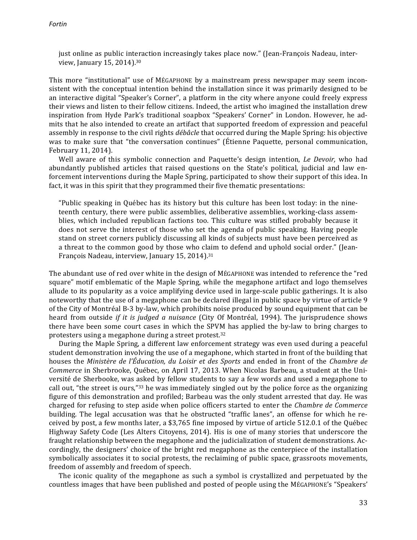just online as public interaction increasingly takes place now." (Jean-François Nadeau, interview, January 15, 2014).<sup>30</sup>

This more "institutional" use of MÉGAPHONE by a mainstream press newspaper may seem inconsistent with the conceptual intention behind the installation since it was primarily designed to be an interactive digital "Speaker's Corner", a platform in the city where anyone could freely express their views and listen to their fellow citizens. Indeed, the artist who imagined the installation drew inspiration from Hyde Park's traditional soapbox "Speakers' Corner" in London. However, he admits that he also intended to create an artifact that supported freedom of expression and peaceful assembly in response to the civil rights *débâcle* that occurred during the Maple Spring: his objective was to make sure that "the conversation continues" (Étienne Paquette, personal communication, February 11, 2014).

Well aware of this symbolic connection and Paquette's design intention, *Le Devoir*, who had abundantly published articles that raised questions on the State's political, judicial and law enforcement interventions during the Maple Spring, participated to show their support of this idea. In fact, it was in this spirit that they programmed their five thematic presentations:

"Public speaking in Québec has its history but this culture has been lost today: in the nineteenth century, there were public assemblies, deliberative assemblies, working-class assemblies, which included republican factions too. This culture was stifled probably because it does not serve the interest of those who set the agenda of public speaking. Having people stand on street corners publicly discussing all kinds of subjects must have been perceived as a threat to the common good by those who claim to defend and uphold social order." (Jean-François Nadeau, interview, January 15, 2014).<sup>31</sup>

The abundant use of red over white in the design of MÉGAPHONE was intended to reference the "red square" motif emblematic of the Maple Spring, while the megaphone artifact and logo themselves allude to its popularity as a voice amplifying device used in large-scale public gatherings. It is also noteworthy that the use of a megaphone can be declared illegal in public space by virtue of article 9 of the City of Montréal B-3 by-law, which prohibits noise produced by sound equipment that can be heard from outside *if it is judged a nuisance* (City Of Montréal, 1994). The jurisprudence shows there have been some court cases in which the SPVM has applied the by-law to bring charges to protesters using a megaphone during a street protest. $32$ 

During the Maple Spring, a different law enforcement strategy was even used during a peaceful student demonstration involving the use of a megaphone, which started in front of the building that houses the *Ministère de l'Éducation, du Loisir et des Sports* and ended in front of the *Chambre de Commerce* in Sherbrooke, Québec, on April 17, 2013. When Nicolas Barbeau, a student at the Université de Sherbooke, was asked by fellow students to say a few words and used a megaphone to call out, "the street is ours,"<sup>33</sup> he was immediately singled out by the police force as the organizing figure of this demonstration and profiled; Barbeau was the only student arrested that day. He was charged for refusing to step aside when police officers started to enter the *Chambre de Commerce* building. The legal accusation was that he obstructed "traffic lanes", an offense for which he received by post, a few months later, a \$3,765 fine imposed by virtue of article 512.0.1 of the Québec Highway Safety Code (Les Alters Citoyens, 2014). His is one of many stories that underscore the fraught relationship between the megaphone and the judicialization of student demonstrations. Accordingly, the designers' choice of the bright red megaphone as the centerpiece of the installation symbolically associates it to social protests, the reclaiming of public space, grassroots movements, freedom of assembly and freedom of speech.

The iconic quality of the megaphone as such a symbol is crystallized and perpetuated by the countless images that have been published and posted of people using the MÉGAPHONE's "Speakers'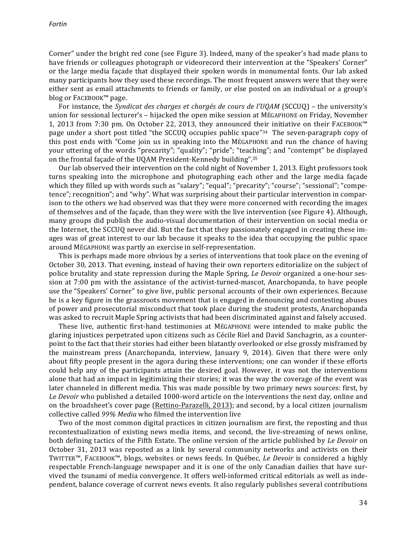Corner" under the bright red cone (see Figure 3). Indeed, many of the speaker's had made plans to have friends or colleagues photograph or videorecord their intervention at the "Speakers' Corner" or the large media façade that displayed their spoken words in monumental fonts. Our lab asked many participants how they used these recordings. The most frequent answers were that they were either sent as email attachments to friends or family, or else posted on an individual or a group's blog or FACEBOOK™ page.

For instance, the *Syndicat des charges et chargés de cours de l'UQAM* (SCCUQ) – the university's union for sessional lecturer's – hijacked the open mike session at MÉGAPHONE on Friday, November 1, 2013 from 7:30 pm. On October 22, 2013, they announced their initiative on their FACEBOOK™ page under a short post titled "the SCCUQ occupies public space"<sup>34</sup> The seven-paragraph copy of this post ends with "Come join us in speaking into the MÉGAPHONE and run the chance of having your uttering of the words "precarity"; "quality"; "pride"; "teaching"; and "contempt" be displayed on the frontal façade of the UQAM President-Kennedy building".<sup>35</sup>

Our lab observed their intervention on the cold night of November 1, 2013. Eight professors took turns speaking into the microphone and photographing each other and the large media façade which they filled up with words such as "salary"; "equal"; "precarity"; "course"; "sessional"; "competence"; recognition"; and "why". What was surprising about their particular intervention in comparison to the others we had observed was that they were more concerned with recording the images of themselves and of the façade, than they were with the live intervention (see Figure 4). Although, many groups did publish the audio-visual documentation of their intervention on social media or the Internet, the SCCUQ never did. But the fact that they passionately engaged in creating these images was of great interest to our lab because it speaks to the idea that occupying the public space around MÉGAPHONE was partly an exercise in self-representation.

This is perhaps made more obvious by a series of interventions that took place on the evening of October 30, 2013. That evening, instead of having their own reporters editorialize on the subject of police brutality and state repression during the Maple Spring, *Le Devoir* organized a one-hour session at  $7:00$  pm with the assistance of the activist-turned-mascot, Anarchopanda, to have people use the "Speakers' Corner" to give live, public personal accounts of their own experiences. Because he is a key figure in the grassroots movement that is engaged in denouncing and contesting abuses of power and prosecutorial misconduct that took place during the student protests, Anarchopanda was asked to recruit Maple Spring activists that had been discriminated against and falsely accused.

These live, authentic first-hand testimonies at MÉGAPHONE were intended to make public the glaring injustices perpetrated upon citizens such as Cécile Riel and David Sanchagrin, as a counterpoint to the fact that their stories had either been blatantly overlooked or else grossly misframed by the mainstream press (Anarchopanda, interview, January 9, 2014). Given that there were only about fifty people present in the agora during these interventions; one can wonder if these efforts could help any of the participants attain the desired goal. However, it was not the interventions alone that had an impact in legitimizing their stories; it was the way the coverage of the event was later channeled in different media. This was made possible by two primary news sources: first, by Le Devoir who published a detailed 1000-word article on the interventions the next day, online and on the broadsheet's cover page (Rettino-Parazelli, 2013); and second, by a local citizen journalism collective called 99% Media who filmed the intervention live

Two of the most common digital practices in citizen journalism are first, the reposting and thus recontextualization of existing news media items, and second, the live-streaming of news online, both defining tactics of the Fifth Estate. The online version of the article published by *Le Devoir* on October 31, 2013 was reposted as a link by several community networks and activists on their TWITTER<sup>™</sup>, FACEBOOK™, blogs, websites or news feeds. In Québec, *Le Devoir* is considered a highly respectable French-language newspaper and it is one of the only Canadian dailies that have survived the tsunami of media convergence. It offers well-informed critical editorials as well as independent, balance coverage of current news events. It also regularly publishes several contributions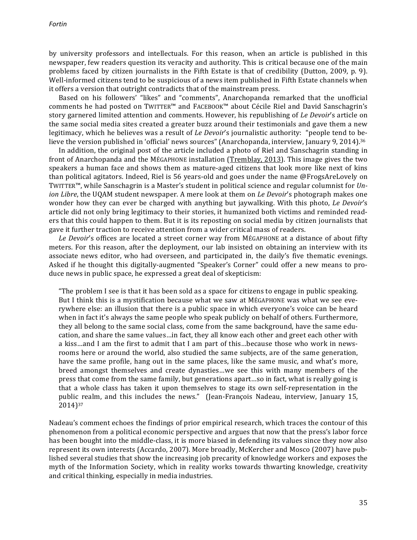by university professors and intellectuals. For this reason, when an article is published in this newspaper, few readers question its veracity and authority. This is critical because one of the main problems faced by citizen journalists in the Fifth Estate is that of credibility (Dutton, 2009, p. 9). Well-informed citizens tend to be suspicious of a news item published in Fifth Estate channels when it offers a version that outright contradicts that of the mainstream press.

Based on his followers' "likes" and "comments", Anarchopanda remarked that the unofficial comments he had posted on TWITTER™ and FACEBOOK™ about Cécile Riel and David Sanschagrin's story garnered limited attention and comments. However, his republishing of *Le Devoir's* article on the same social media sites created a greater buzz around their testimonials and gave them a new legitimacy, which he believes was a result of *Le Devoir's* journalistic authority: "people tend to believe the version published in 'official' news sources" (Anarchopanda, interview, January 9, 2014).<sup>36</sup>

In addition, the original post of the article included a photo of Riel and Sanschagrin standing in front of Anarchopanda and the MÉGAPHONE installation (Tremblay, 2013). This image gives the two speakers a human face and shows them as mature-aged citizens that look more like next of kins than political agitators. Indeed, Riel is 56 years-old and goes under the name @FrogsAreLovely on TWITTER<sup>™</sup>, while Sanschagrin is a Master's student in political science and regular columnist for *Union Libre*, the UQAM student newspaper. A mere look at them on *Le Devoir's* photograph makes one wonder how they can ever be charged with anything but jaywalking. With this photo, *Le Devoir's* article did not only bring legitimacy to their stories, it humanized both victims and reminded readers that this could happen to them. But it is its reposting on social media by citizen journalists that gave it further traction to receive attention from a wider critical mass of readers.

Le Devoir's offices are located a street corner way from MÉGAPHONE at a distance of about fifty meters. For this reason, after the deployment, our lab insisted on obtaining an interview with its associate news editor, who had overseen, and participated in, the daily's five thematic evenings. Asked if he thought this digitally-augmented "Speaker's Corner" could offer a new means to produce news in public space, he expressed a great deal of skepticism:

"The problem I see is that it has been sold as a space for citizens to engage in public speaking. But I think this is a mystification because what we saw at MÉGAPHONE was what we see everywhere else: an illusion that there is a public space in which everyone's voice can be heard when in fact it's always the same people who speak publicly on behalf of others. Furthermore, they all belong to the same social class, come from the same background, have the same education, and share the same values...in fact, they all know each other and greet each other with a kiss…and I am the first to admit that I am part of this…because those who work in newsrooms here or around the world, also studied the same subjects, are of the same generation, have the same profile, hang out in the same places, like the same music, and what's more, breed amongst themselves and create dynasties...we see this with many members of the press that come from the same family, but generations apart...so in fact, what is really going is that a whole class has taken it upon themselves to stage its own self-representation in the public realm, and this includes the news." (Jean-François Nadeau, interview, January 15, 2014)37

Nadeau's comment echoes the findings of prior empirical research, which traces the contour of this phenomenon from a political economic perspective and argues that now that the press's labor force has been bought into the middle-class, it is more biased in defending its values since they now also represent its own interests (Accardo, 2007). More broadly, McKercher and Mosco (2007) have published several studies that show the increasing job precarity of knowledge workers and exposes the myth of the Information Society, which in reality works towards thwarting knowledge, creativity and critical thinking, especially in media industries.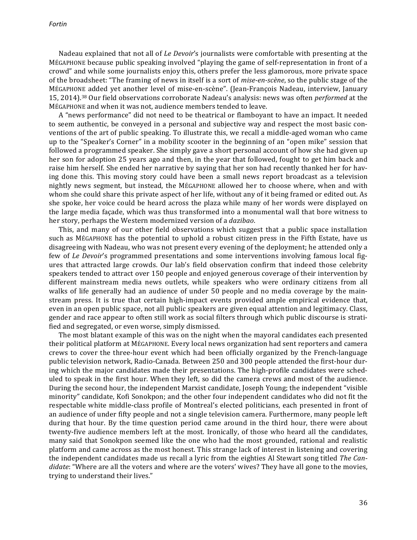Nadeau explained that not all of *Le Devoir's* journalists were comfortable with presenting at the MÉGAPHONE because public speaking involved "playing the game of self-representation in front of a crowd" and while some journalists enjoy this, others prefer the less glamorous, more private space of the broadsheet: "The framing of news in itself is a sort of *mise-en-scène*, so the public stage of the MÉGAPHONE added yet another level of mise-en-scène". (Jean-François Nadeau, interview, January 15, 2014).<sup>38</sup> Our field observations corroborate Nadeau's analysis: news was often *performed* at the MÉGAPHONE and when it was not, audience members tended to leave.

A "news performance" did not need to be theatrical or flamboyant to have an impact. It needed to seem authentic, be conveyed in a personal and subjective way and respect the most basic conventions of the art of public speaking. To illustrate this, we recall a middle-aged woman who came up to the "Speaker's Corner" in a mobility scooter in the beginning of an "open mike" session that followed a programmed speaker. She simply gave a short personal account of how she had given up her son for adoption 25 years ago and then, in the year that followed, fought to get him back and raise him herself. She ended her narrative by saying that her son had recently thanked her for having done this. This moving story could have been a small news report broadcast as a television nightly news segment, but instead, the MÉGAPHONE allowed her to choose where, when and with whom she could share this private aspect of her life, without any of it being framed or edited out. As she spoke, her voice could be heard across the plaza while many of her words were displayed on the large media façade, which was thus transformed into a monumental wall that bore witness to her story, perhaps the Western modernized version of a *dazibao*.

This, and many of our other field observations which suggest that a public space installation such as MÉGAPHONE has the potential to uphold a robust citizen press in the Fifth Estate, have us disagreeing with Nadeau, who was not present every evening of the deployment; he attended only a few of *Le Devoir's* programmed presentations and some interventions involving famous local figures that attracted large crowds. Our lab's field observation confirm that indeed those celebrity speakers tended to attract over 150 people and enjoyed generous coverage of their intervention by different mainstream media news outlets, while speakers who were ordinary citizens from all walks of life generally had an audience of under 50 people and no media coverage by the mainstream press. It is true that certain high-impact events provided ample empirical evidence that, even in an open public space, not all public speakers are given equal attention and legitimacy. Class, gender and race appear to often still work as social filters through which public discourse is stratified and segregated, or even worse, simply dismissed.

The most blatant example of this was on the night when the mayoral candidates each presented their political platform at MÉGAPHONE. Every local news organization had sent reporters and camera crews to cover the three-hour event which had been officially organized by the French-language public television network, Radio-Canada. Between 250 and 300 people attended the first-hour during which the major candidates made their presentations. The high-profile candidates were scheduled to speak in the first hour. When they left, so did the camera crews and most of the audience. During the second hour, the independent Marxist candidate, Joseph Young; the independent "visible minority" candidate, Kofi Sonokpon; and the other four independent candidates who did not fit the respectable white middle-class profile of Montreal's elected politicians, each presented in front of an audience of under fifty people and not a single television camera. Furthermore, many people left during that hour. By the time question period came around in the third hour, there were about twenty-five audience members left at the most. Ironically, of those who heard all the candidates, many said that Sonokpon seemed like the one who had the most grounded, rational and realistic platform and came across as the most honest. This strange lack of interest in listening and covering the independent candidates made us recall a lyric from the eighties Al Stewart song titled *The Candidate*: "Where are all the voters and where are the voters' wives? They have all gone to the movies, trying to understand their lives."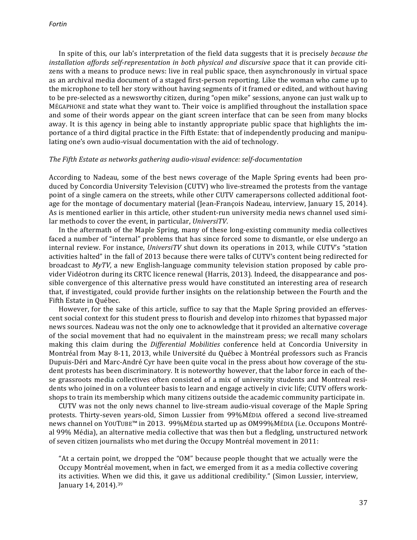In spite of this, our lab's interpretation of the field data suggests that it is precisely *because the installation affords self-representation in both physical and discursive space that it can provide citi*zens with a means to produce news: live in real public space, then asynchronously in virtual space as an archival media document of a staged first-person reporting. Like the woman who came up to the microphone to tell her story without having segments of it framed or edited, and without having to be pre-selected as a newsworthy citizen, during "open mike" sessions, anyone can just walk up to MÉGAPHONE and state what they want to. Their voice is amplified throughout the installation space and some of their words appear on the giant screen interface that can be seen from many blocks away. It is this agency in being able to instantly appropriate public space that highlights the importance of a third digital practice in the Fifth Estate: that of independently producing and manipulating one's own audio-visual documentation with the aid of technology.

#### *The Fifth Estate as networks gathering audio-visual evidence: self-documentation*

According to Nadeau, some of the best news coverage of the Maple Spring events had been produced by Concordia University Television (CUTV) who live-streamed the protests from the vantage point of a single camera on the streets, while other CUTV camerapersons collected additional footage for the montage of documentary material (Jean-François Nadeau, interview, January 15, 2014). As is mentioned earlier in this article, other student-run university media news channel used similar methods to cover the event, in particular, *UniversiTV*.

In the aftermath of the Maple Spring, many of these long-existing community media collectives faced a number of "internal" problems that has since forced some to dismantle, or else undergo an internal review. For instance, *UniversiTV* shut down its operations in 2013, while CUTV's "station activities halted" in the fall of 2013 because there were talks of CUTV's content being redirected for broadcast to *MyTV*, a new English-language community television station proposed by cable provider Vidéotron during its CRTC licence renewal (Harris, 2013). Indeed, the disappearance and possible convergence of this alternative press would have constituted an interesting area of research that, if investigated, could provide further insights on the relationship between the Fourth and the Fifth Estate in Québec.

However, for the sake of this article, suffice to say that the Maple Spring provided an effervescent social context for this student press to flourish and develop into rhizomes that bypassed major news sources. Nadeau was not the only one to acknowledge that it provided an alternative coverage of the social movement that had no equivalent in the mainstream press; we recall many scholars making this claim during the *Differential Mobilities* conference held at Concordia University in Montréal from May 8-11, 2013, while Université du Québec à Montréal professors such as Francis Dupuis-Déri and Marc-André Cyr have been quite vocal in the press about how coverage of the student protests has been discriminatory. It is noteworthy however, that the labor force in each of these grassroots media collectives often consisted of a mix of university students and Montreal residents who joined in on a volunteer basis to learn and engage actively in civic life; CUTV offers workshops to train its membership which many citizens outside the academic community participate in.

CUTV was not the only news channel to live-stream audio-visual coverage of the Maple Spring protests. Thirty-seven years-old, Simon Lussier from 99%MÉDIA offered a second live-streamed news channel on YOUTUBE™ in 2013. 99%MÉDIA started up as OM99%MÉDIA (i.e. Occupons Montréal 99% Média), an alternative media collective that was then but a fledgling, unstructured network of seven citizen journalists who met during the Occupy Montréal movement in 2011:

"At a certain point, we dropped the "OM" because people thought that we actually were the Occupy Montréal movement, when in fact, we emerged from it as a media collective covering its activities. When we did this, it gave us additional credibility." (Simon Lussier, interview, January 14, 2014).<sup>39</sup>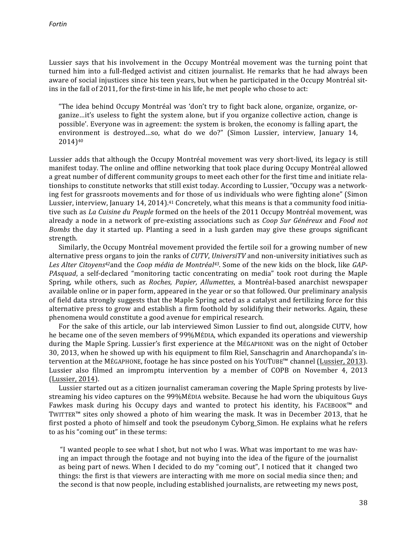Lussier says that his involvement in the Occupy Montréal movement was the turning point that turned him into a full-fledged activist and citizen journalist. He remarks that he had always been aware of social injustices since his teen years, but when he participated in the Occupy Montréal sitins in the fall of 2011, for the first-time in his life, he met people who chose to act:

"The idea behind Occupy Montréal was 'don't try to fight back alone, organize, organize, organize…it's useless to fight the system alone, but if you organize collective action, change is possible'. Everyone was in agreement: the system is broken, the economy is falling apart, the environment is destroyed...so, what do we do?" (Simon Lussier, interview, January 14, 2014)40

Lussier adds that although the Occupy Montréal movement was very short-lived, its legacy is still manifest today. The online and offline networking that took place during Occupy Montréal allowed a great number of different community groups to meet each other for the first time and initiate relationships to constitute networks that still exist today. According to Lussier, "Occupy was a networking fest for grassroots movements and for those of us individuals who were fighting alone" (Simon Lussier, interview, January 14, 2014).<sup>41</sup> Concretely, what this means is that a community food initiative such as *La Cuisine du Peuple* formed on the heels of the 2011 Occupy Montréal movement, was already a node in a network of pre-existing associations such as *Coop Sur Généreux* and *Food not Bombs* the day it started up. Planting a seed in a lush garden may give these groups significant strength.

Similarly, the Occupy Montréal movement provided the fertile soil for a growing number of new alternative press organs to join the ranks of *CUTV*, *UniversiTV* and non-university initiatives such as Les Alter Citoyens<sup>42</sup>and the Coop média de Montréal<sup>43</sup>. Some of the new kids on the block, like GAP-*PAsquad*, a self-declared "monitoring tactic concentrating on media" took root during the Maple Spring, while others, such as *Roches, Papier, Allumettes*, a Montréal-based anarchist newspaper available online or in paper form, appeared in the year or so that followed. Our preliminary analysis of field data strongly suggests that the Maple Spring acted as a catalyst and fertilizing force for this alternative press to grow and establish a firm foothold by solidifying their networks. Again, these phenomena would constitute a good avenue for empirical research.

For the sake of this article, our lab interviewed Simon Lussier to find out, alongside CUTV, how he became one of the seven members of 99%MÉDIA, which expanded its operations and viewership during the Maple Spring. Lussier's first experience at the MÉGAPHONE was on the night of October 30, 2013, when he showed up with his equipment to film Riel, Sanschagrin and Anarchopanda's intervention at the MÉGAPHONE, footage he has since posted on his YOUTUBE™ channel (Lussier, 2013). Lussier also filmed an impromptu intervention by a member of COPB on November 4, 2013 (Lussier, 2014).

Lussier started out as a citizen journalist cameraman covering the Maple Spring protests by livestreaming his video captures on the 99%MÉDIA website. Because he had worn the ubiquitous Guys Fawkes mask during his Occupy days and wanted to protect his identity, his FACEBOOK™ and TWITTER<sup>™</sup> sites only showed a photo of him wearing the mask. It was in December 2013, that he first posted a photo of himself and took the pseudonym Cyborg\_Simon. He explains what he refers to as his "coming out" in these terms:

"I wanted people to see what I shot, but not who I was. What was important to me was having an impact through the footage and not buying into the idea of the figure of the journalist as being part of news. When I decided to do my "coming out", I noticed that it changed two things: the first is that viewers are interacting with me more on social media since then; and the second is that now people, including established journalists, are retweeting my news post,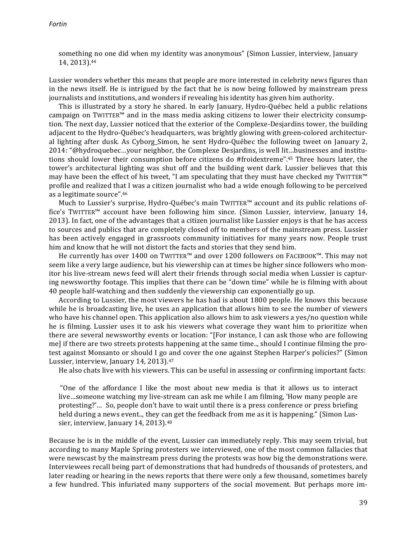something no one did when my identity was anonymous" (Simon Lussier, interview, January 14, 2013).44

Lussier wonders whether this means that people are more interested in celebrity news figures than in the news itself. He is intrigued by the fact that he is now being followed by mainstream press journalists and institutions, and wonders if revealing his identity has given him authority.

This is illustrated by a story he shared. In early January, Hydro-Québec held a public relations campaign on TWITTER<sup>™</sup> and in the mass media asking citizens to lower their electricity consumption. The next day, Lussier noticed that the exterior of the Complexe-Desjardins tower, the building adjacent to the Hydro-Québec's headquarters, was brightly glowing with green-colored architectural lighting after dusk. As Cyborg\_Simon, he sent Hydro-Québec the following tweet on January 2, 2014: "@hydroquebec...your neighbor, the Complexe Desjardins, is well lit...businesses and institutions should lower their consumption before citizens do #froidextreme".<sup>45</sup> Three hours later, the tower's architectural lighting was shut off and the building went dark. Lussier believes that this may have been the effect of his tweet, "I am speculating that they must have checked my TWITTER™ profile and realized that I was a citizen journalist who had a wide enough following to be perceived as a legitimate source".46

Much to Lussier's surprise, Hydro-Québec's main  $\text{TWITTER}^{\text{m}}$  account and its public relations office's TWITTER<sup>™</sup> account have been following him since. (Simon Lussier, interview, January 14, 2013). In fact, one of the advantages that a citizen journalist like Lussier enjoys is that he has access to sources and publics that are completely closed off to members of the mainstream press. Lussier has been actively engaged in grassroots community initiatives for many years now. People trust him and know that he will not distort the facts and stories that they send him.

He currently has over 1400 on TWITTER™ and over 1200 followers on FACEBOOK™. This may not seem like a very large audience, but his viewership can at times be higher since followers who monitor his live-stream news feed will alert their friends through social media when Lussier is capturing newsworthy footage. This implies that there can be "down time" while he is filming with about 40 people half-watching and then suddenly the viewership can exponentially go up.

According to Lussier, the most viewers he has had is about 1800 people. He knows this because while he is broadcasting live, he uses an application that allows him to see the number of viewers who have his channel open. This application also allows him to ask viewers a yes/no question while he is filming. Lussier uses it to ask his viewers what coverage they want him to prioritize when there are several newsworthy events or location: "[For instance, I can ask those who are following me] if there are two streets protests happening at the same time.., should I continue filming the protest against Monsanto or should I go and cover the one against Stephen Harper's policies?" (Simon Lussier, interview, January 14, 2013).<sup>47</sup>

He also chats live with his viewers. This can be useful in assessing or confirming important facts:

"One of the affordance I like the most about new media is that it allows us to interact live...someone watching my live-stream can ask me while I am filming, 'How many people are protesting?'... So, people don't have to wait until there is a press conference or press briefing held during a news event.., they can get the feedback from me as it is happening." (Simon Lussier, interview, January 14, 2013).<sup>48</sup>

Because he is in the middle of the event, Lussier can immediately reply. This may seem trivial, but according to many Maple Spring protesters we interviewed, one of the most common fallacies that were newscast by the mainstream press during the protests was how big the demonstrations were. Interviewees recall being part of demonstrations that had hundreds of thousands of protesters, and later reading or hearing in the news reports that there were only a few thousand, sometimes barely a few hundred. This infuriated many supporters of the social movement. But perhaps more im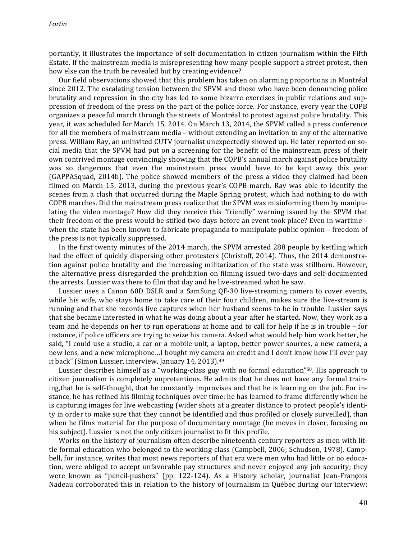portantly, it illustrates the importance of self-documentation in citizen journalism within the Fifth Estate. If the mainstream media is misrepresenting how many people support a street protest, then how else can the truth be revealed but by creating evidence?

Our field observations showed that this problem has taken on alarming proportions in Montréal since 2012. The escalating tension between the SPVM and those who have been denouncing police brutality and repression in the city has led to some bizarre exercises in public relations and suppression of freedom of the press on the part of the police force. For instance, every year the COPB organizes a peaceful march through the streets of Montréal to protest against police brutality. This year, it was scheduled for March 15, 2014. On March 13, 2014, the SPVM called a press conference for all the members of mainstream media – without extending an invitation to any of the alternative press. William Ray, an uninvited CUTV journalist unexpectedly showed up. He later reported on social media that the SPVM had put on a screening for the benefit of the mainstream press of their own contrived montage convincingly showing that the COPB's annual march against police brutality was so dangerous that even the mainstream press would have to be kept away this year (GAPPASquad, 2014b). The police showed members of the press a video they claimed had been filmed on March 15, 2013, during the previous year's COPB march. Ray was able to identify the scenes from a clash that occurred during the Maple Spring protest, which had nothing to do with COPB marches. Did the mainstream press realize that the SPVM was misinforming them by manipulating the video montage? How did they receive this "friendly" warning issued by the SPVM that their freedom of the press would be stifled two-days before an event took place? Even in wartime when the state has been known to fabricate propaganda to manipulate public opinion  $-$  freedom of the press is not typically suppressed.

In the first twenty minutes of the 2014 march, the SPVM arrested 288 people by kettling which had the effect of quickly dispersing other protesters (Christoff, 2014). Thus, the 2014 demonstration against police brutality and the increasing militarization of the state was stillborn. However, the alternative press disregarded the prohibition on filming issued two-days and self-documented the arrests. Lussier was there to film that day and he live-streamed what he saw.

Lussier uses a Canon 60D DSLR and a SamSung QF-30 live-streaming camera to cover events, while his wife, who stays home to take care of their four children, makes sure the live-stream is running and that she records live captures when her husband seems to be in trouble. Lussier says that she became interested in what he was doing about a year after he started. Now, they work as a team and he depends on her to run operations at home and to call for help if he is in trouble – for instance, if police officers are trying to seize his camera. Asked what would help him work better, he said, "I could use a studio, a car or a mobile unit, a laptop, better power sources, a new camera, a new lens, and a new microphone...I bought my camera on credit and I don't know how I'll ever pay it back" (Simon Lussier, interview, January 14, 2013).<sup>49</sup>

Lussier describes himself as a "working-class guy with no formal education"<sup>50</sup>. His approach to citizen journalism is completely unpretentious. He admits that he does not have any formal training, that he is self-thought, that he constantly improvises and that he is learning on the job. For instance, he has refined his filming techniques over time: he has learned to frame differently when he is capturing images for live webcasting (wider shots at a greater distance to protect people's identity in order to make sure that they cannot be identified and thus profiled or closely surveilled), than when he films material for the purpose of documentary montage (he moves in closer, focusing on his subject). Lussier is not the only citizen journalist to fit this profile.

Works on the history of journalism often describe nineteenth century reporters as men with little formal education who belonged to the working-class (Campbell, 2006; Schudson, 1978). Campbell, for instance, writes that most news reporters of that era were men who had little or no education, were obliged to accept unfavorable pay structures and never enjoyed any job security; they were known as "pencil-pushers" (pp. 122-124). As a History scholar, journalist Jean-François Nadeau corroborated this in relation to the history of journalism in Québec during our interview: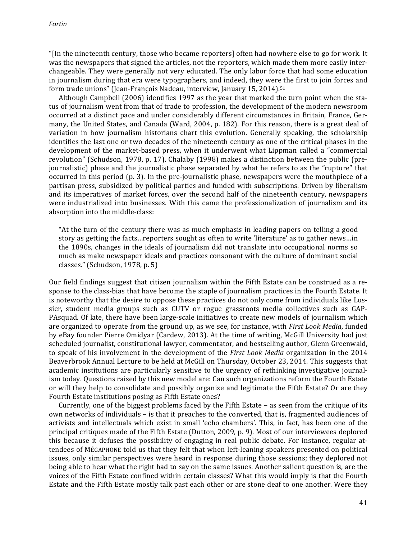"[In the nineteenth century, those who became reporters] often had nowhere else to go for work. It was the newspapers that signed the articles, not the reporters, which made them more easily interchangeable. They were generally not very educated. The only labor force that had some education in journalism during that era were typographers, and indeed, they were the first to join forces and form trade unions" (Jean-François Nadeau, interview, January 15, 2014).<sup>51</sup>

Although Campbell (2006) identifies 1997 as the year that marked the turn point when the status of journalism went from that of trade to profession, the development of the modern newsroom occurred at a distinct pace and under considerably different circumstances in Britain, France, Germany, the United States, and Canada (Ward, 2004, p. 182). For this reason, there is a great deal of variation in how journalism historians chart this evolution. Generally speaking, the scholarship identifies the last one or two decades of the nineteenth century as one of the critical phases in the development of the market-based press, when it underwent what Lippman called a "commercial revolution" (Schudson, 1978, p. 17). Chalaby (1998) makes a distinction between the public (prejournalistic) phase and the journalistic phase separated by what he refers to as the "rupture" that occurred in this period  $(p, 3)$ . In the pre-journalistic phase, newspapers were the mouthpiece of a partisan press, subsidized by political parties and funded with subscriptions. Driven by liberalism and its imperatives of market forces, over the second half of the nineteenth century, newspapers were industrialized into businesses. With this came the professionalization of journalism and its absorption into the middle-class:

"At the turn of the century there was as much emphasis in leading papers on telling a good story as getting the facts... reporters sought as often to write 'literature' as to gather news... in the 1890s, changes in the ideals of journalism did not translate into occupational norms so much as make newspaper ideals and practices consonant with the culture of dominant social classes." (Schudson, 1978, p. 5)

Our field findings suggest that citizen journalism within the Fifth Estate can be construed as a response to the class-bias that have become the staple of journalism practices in the Fourth Estate. It is noteworthy that the desire to oppose these practices do not only come from individuals like Lussier, student media groups such as CUTV or rogue grassroots media collectives such as GAP-PAsquad. Of late, there have been large-scale initiatives to create new models of journalism which are organized to operate from the ground up, as we see, for instance, with *First Look Media*, funded by eBay founder Pierre Omidyar (Cardew, 2013). At the time of writing, McGill University had just scheduled journalist, constitutional lawyer, commentator, and bestselling author, Glenn Greenwald, to speak of his involvement in the development of the *First Look Media* organization in the 2014 Beaverbrook Annual Lecture to be held at McGill on Thursday, October 23, 2014. This suggests that academic institutions are particularly sensitive to the urgency of rethinking investigative journalism today. Questions raised by this new model are: Can such organizations reform the Fourth Estate or will they help to consolidate and possibly organize and legitimate the Fifth Estate? Or are they Fourth Estate institutions posing as Fifth Estate ones?

Currently, one of the biggest problems faced by the Fifth Estate  $-$  as seen from the critique of its own networks of individuals – is that it preaches to the converted, that is, fragmented audiences of activists and intellectuals which exist in small 'echo chambers'. This, in fact, has been one of the principal critiques made of the Fifth Estate (Dutton, 2009, p. 9). Most of our interviewees deplored this because it defuses the possibility of engaging in real public debate. For instance, regular attendees of MÉGAPHONE told us that they felt that when left-leaning speakers presented on political issues, only similar perspectives were heard in response during those sessions; they deplored not being able to hear what the right had to say on the same issues. Another salient question is, are the voices of the Fifth Estate confined within certain classes? What this would imply is that the Fourth Estate and the Fifth Estate mostly talk past each other or are stone deaf to one another. Were they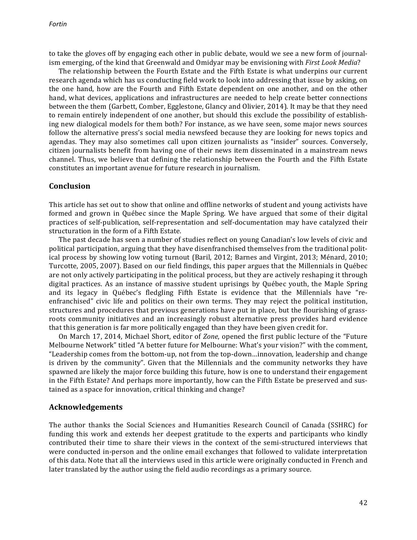to take the gloves off by engaging each other in public debate, would we see a new form of journalism emerging, of the kind that Greenwald and Omidyar may be envisioning with *First Look Media*?

The relationship between the Fourth Estate and the Fifth Estate is what underpins our current research agenda which has us conducting field work to look into addressing that issue by asking, on the one hand, how are the Fourth and Fifth Estate dependent on one another, and on the other hand, what devices, applications and infrastructures are needed to help create better connections between the them (Garbett, Comber, Egglestone, Glancy and Olivier, 2014). It may be that they need to remain entirely independent of one another, but should this exclude the possibility of establishing new dialogical models for them both? For instance, as we have seen, some major news sources follow the alternative press's social media newsfeed because they are looking for news topics and agendas. They may also sometimes call upon citizen journalists as "insider" sources. Conversely, citizen journalists benefit from having one of their news item disseminated in a mainstream news channel. Thus, we believe that defining the relationship between the Fourth and the Fifth Estate constitutes an important avenue for future research in journalism.

#### **Conclusion**

This article has set out to show that online and offline networks of student and young activists have formed and grown in Québec since the Maple Spring. We have argued that some of their digital practices of self-publication, self-representation and self-documentation may have catalyzed their structuration in the form of a Fifth Estate.

The past decade has seen a number of studies reflect on young Canadian's low levels of civic and political participation, arguing that they have disenfranchised themselves from the traditional political process by showing low voting turnout (Baril, 2012; Barnes and Virgint, 2013; Ménard, 2010; Turcotte, 2005, 2007). Based on our field findings, this paper argues that the Millennials in Québec are not only actively participating in the political process, but they are actively reshaping it through digital practices. As an instance of massive student uprisings by Québec youth, the Maple Spring and its legacy in Québec's fledgling Fifth Estate is evidence that the Millennials have "reenfranchised" civic life and politics on their own terms. They may reject the political institution, structures and procedures that previous generations have put in place, but the flourishing of grassroots community initiatives and an increasingly robust alternative press provides hard evidence that this generation is far more politically engaged than they have been given credit for.

On March 17, 2014, Michael Short, editor of *Zone*, opened the first public lecture of the "Future Melbourne Network" titled "A better future for Melbourne: What's your vision?" with the comment, "Leadership comes from the bottom-up, not from the top-down...innovation, leadership and change is driven by the community". Given that the Millennials and the community networks they have spawned are likely the major force building this future, how is one to understand their engagement in the Fifth Estate? And perhaps more importantly, how can the Fifth Estate be preserved and sustained as a space for innovation, critical thinking and change?

#### **Acknowledgements**

The author thanks the Social Sciences and Humanities Research Council of Canada (SSHRC) for funding this work and extends her deepest gratitude to the experts and participants who kindly contributed their time to share their views in the context of the semi-structured interviews that were conducted in-person and the online email exchanges that followed to validate interpretation of this data. Note that all the interviews used in this article were originally conducted in French and later translated by the author using the field audio recordings as a primary source.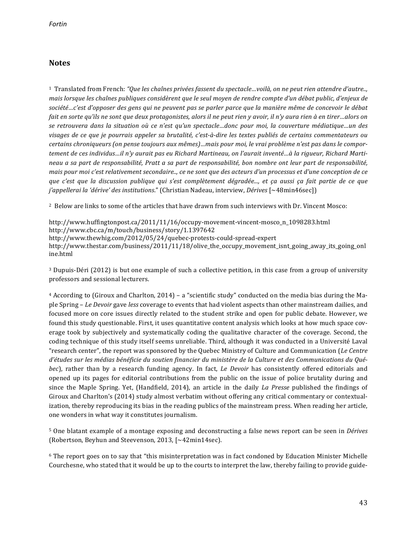# **Notes**

<sup>1</sup> Translated from French: "Que les chaînes privées fassent du spectacle...voilà, on ne peut rien attendre d'autre.., *mais* lorsque les chaînes publiques considèrent que le seul moyen de rendre compte d'un débat public, d'enjeux de société…c'est d'opposer des gens qui ne peuvent pas se parler parce que la manière même de concevoir le débat *fait* en sorte qu'ils ne sont que deux protagonistes, alors il ne peut rien y avoir, il n'y aura rien à en tirer…alors on se retrouvera dans la situation où ce n'est qu'un spectacle…donc pour moi, la couverture médiatique…un des visages de ce que je pourrais appeler sa brutalité, c'est-à-dire les textes publiés de certains commentateurs ou certains chroniqueurs (on pense toujours aux mêmes)...mais pour moi, le vrai problème n'est pas dans le comportement de ces individus...il n'y aurait pas eu Richard Martineau, on l'aurait inventé...à la rigueur, Richard Martineau a sa part de responsabilité, Pratt a sa part de responsabilité, bon nombre ont leur part de responsabilité, *mais pour moi c'est relativement secondaire.., ce ne sont que des acteurs d'un processus et d'une conception de ce que* c'est que la discussion publique qui s'est complètement dégradée..., et ca aussi ca fait partie de ce que *j'appellerai la 'dérive' des institutions."* (Christian Nadeau, interview, *Dérives* [~48min46sec])

<sup>2</sup> Below are links to some of the articles that have drawn from such interviews with Dr. Vincent Mosco:

http://www.huffingtonpost.ca/2011/11/16/occupy-movement-vincent-mosco\_n\_1098283.html http://www.cbc.ca/m/touch/business/story/1.1397642 http://www.thewhig.com/2012/05/24/quebec-protests-could-spread-expert http://www.thestar.com/business/2011/11/18/olive\_the\_occupy\_movement\_isnt\_going\_away\_its\_going\_onl ine.html

<sup>3</sup> Dupuis-Déri (2012) is but one example of such a collective petition, in this case from a group of university professors and sessional lecturers.

 $4$  According to (Giroux and Charlton, 2014) – a "scientific study" conducted on the media bias during the Maple Spring – *Le Devoir* gave *less* coverage to events that had violent aspects than other mainstream dailies, and focused more on core issues directly related to the student strike and open for public debate. However, we found this study questionable. First, it uses quantitative content analysis which looks at how much space coverage took by subjectively and systematically coding the qualitative character of the coverage. Second, the coding technique of this study itself seems unreliable. Third, although it was conducted in a Université Laval "research center", the report was sponsored by the Quebec Ministry of Culture and Communication (*Le Centre* d'études sur les médias bénéficie du soutien financier du ministère de la Culture et des Communications du Qué*bec*), rather than by a research funding agency. In fact, *Le Devoir* has consistently offered editorials and opened up its pages for editorial contributions from the public on the issue of police brutality during and since the Maple Spring. Yet, (Handfield, 2014), an article in the daily *La Presse* published the findings of Giroux and Charlton's (2014) study almost verbatim without offering any critical commentary or contextualization, thereby reproducing its bias in the reading publics of the mainstream press. When reading her article, one wonders in what way it constitutes journalism.

5 One blatant example of a montage exposing and deconstructing a false news report can be seen in *Dérives* (Robertson, Beyhun and Steevenson, 2013, [~42min14sec).

 $6$  The report goes on to say that "this misinterpretation was in fact condoned by Education Minister Michelle Courchesne, who stated that it would be up to the courts to interpret the law, thereby failing to provide guide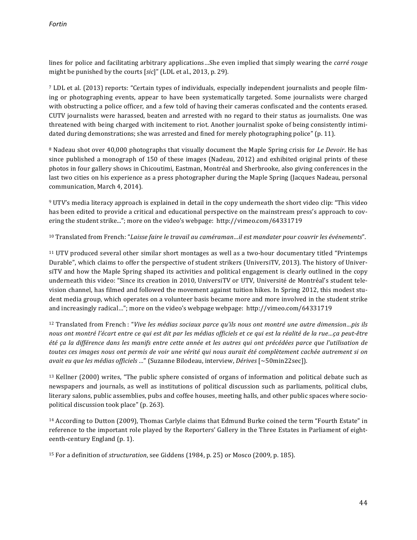lines for police and facilitating arbitrary applications...She even implied that simply wearing the *carré rouge* might be punished by the courts [sic]" (LDL et al., 2013, p. 29).

<sup>7</sup> LDL et al. (2013) reports: "Certain types of individuals, especially independent journalists and people filming or photographing events, appear to have been systematically targeted. Some journalists were charged with obstructing a police officer, and a few told of having their cameras confiscated and the contents erased. CUTV journalists were harassed, beaten and arrested with no regard to their status as journalists. One was threatened with being charged with incitement to riot. Another journalist spoke of being consistently intimidated during demonstrations; she was arrested and fined for merely photographing police" (p. 11).

<sup>8</sup> Nadeau shot over 40,000 photographs that visually document the Maple Spring crisis for *Le Devoir*. He has since published a monograph of 150 of these images (Nadeau, 2012) and exhibited original prints of these photos in four gallery shows in Chicoutimi, Eastman, Montréal and Sherbrooke, also giving conferences in the last two cities on his experience as a press photographer during the Maple Spring (Jacques Nadeau, personal communication, March 4, 2014).

9 UTV's media literacy approach is explained in detail in the copy underneath the short video clip: "This video has been edited to provide a critical and educational perspective on the mainstream press's approach to covering the student strike..."; more on the video's webpage: http://vimeo.com/64331719

<sup>10</sup> Translated from French: "Laisse faire le travail au caméraman...il est mandater pour couvrir les événements".

<sup>11</sup> UTV produced several other similar short montages as well as a two-hour documentary titled "Printemps" Durable", which claims to offer the perspective of student strikers (UniversiTV, 2013). The history of UniversiTV and how the Maple Spring shaped its activities and political engagement is clearly outlined in the copy underneath this video: "Since its creation in 2010, UniversiTV or UTV, Université de Montréal's student television channel, has filmed and followed the movement against tuition hikes. In Spring 2012, this modest student media group, which operates on a volunteer basis became more and more involved in the student strike and increasingly radical..."; more on the video's webpage webpage: http://vimeo.com/64331719

<sup>12</sup> Translated from French : "*Vive les médias sociaux parce qu'ils nous ont montré une autre dimension...pis ils* nous ont montré l'écart entre ce qui est dit par les médias officiels et ce qui est la réalité de la rue…ça peut-être *été ça la différence dans les manifs entre cette année et les autres qui ont précédées parce que l'utilisation de toutes ces images nous ont permis de voir une vérité qui nous aurait été complètement cachée autrement si on avait eu que les médias officiels ...*" (Suzanne Bilodeau, interview, *Dérives* [~50min22sec]).

 $13$  Kellner (2000) writes, "The public sphere consisted of organs of information and political debate such as newspapers and journals, as well as institutions of political discussion such as parliaments, political clubs, literary salons, public assemblies, pubs and coffee houses, meeting halls, and other public spaces where sociopolitical discussion took place" (p. 263).

 $14$  According to Dutton (2009), Thomas Carlyle claims that Edmund Burke coined the term "Fourth Estate" in reference to the important role played by the Reporters' Gallery in the Three Estates in Parliament of eighteenth-century England (p. 1).

<sup>15</sup> For a definition of *structuration*, see Giddens (1984, p. 25) or Mosco (2009, p. 185).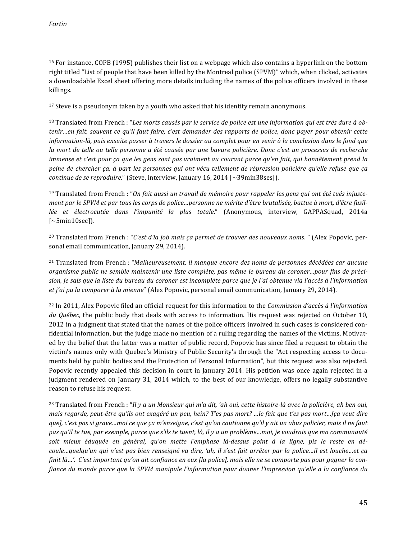$16$  For instance, COPB (1995) publishes their list on a webpage which also contains a hyperlink on the bottom right titled "List of people that have been killed by the Montreal police (SPVM)" which, when clicked, activates a downloadable Excel sheet offering more details including the names of the police officers involved in these killings.

 $17$  Steve is a pseudonym taken by a youth who asked that his identity remain anonymous.

<sup>18</sup> Translated from French : "Les morts causés par le service de police est une information qui est très dure à obtenir…en fait, souvent ce qu'il faut faire, c'est demander des rapports de police, donc payer pour obtenir cette *information-là, puis ensuite passer à travers le dossier au complet pour en venir à la conclusion dans le fond que la* mort de telle ou telle personne a été causée par une bavure policière. Donc c'est un processus de recherche *immense et c'est pour ça que les gens sont pas vraiment au courant parce qu'en fait, qui honnêtement prend la* peine de chercher ça, à part les personnes qui ont vécu tellement de répression policière qu'elle refuse que ça *continue de se reproduire.*" (Steve, interview, January 16, 2014 [~39min38ses]).

<sup>19</sup> Translated from French : "On fait aussi un travail de mémoire pour rappeler les gens qui ont été tués injuste*ment par le SPVM et par tous les corps de police…personne ne mérite d'être brutalisée, battue à mort, d'être fusil*lée et électrocutée dans l'impunité la plus totale." (Anonymous, interview, GAPPASquad, 2014a  $\lceil$ ~5min10sec]).

<sup>20</sup> Translated from French : "*C'est d'la job mais ça permet de trouver des nouveaux noms.*" (Alex Popovic, personal email communication, January 29, 2014).

<sup>21</sup> Translated from French : "Malheureusement, il manque encore des noms de personnes décédées car aucune organisme public ne semble maintenir une liste complète, pas même le bureau du coroner...pour fins de précision, je sais que la liste du bureau du coroner est incomplète parce que je l'ai obtenue via l'accès à l'information *et* j'ai pu la comparer à la mienne" (Alex Popovic, personal email communication, January 29, 2014).

<sup>22</sup> In 2011, Alex Popovic filed an official request for this information to the *Commission d'accès à l'information du* Québec, the public body that deals with access to information. His request was rejected on October 10, 2012 in a judgment that stated that the names of the police officers involved in such cases is considered confidential information, but the judge made no mention of a ruling regarding the names of the victims. Motivated by the belief that the latter was a matter of public record, Popovic has since filed a request to obtain the victim's names only with Quebec's Ministry of Public Security's through the "Act respecting access to documents held by public bodies and the Protection of Personal Information", but this request was also rejected. Popovic recently appealed this decision in court in January 2014. His petition was once again rejected in a judgment rendered on January 31, 2014 which, to the best of our knowledge, offers no legally substantive reason to refuse his request.

<sup>23</sup> Translated from French : "Il y a un Monsieur qui m'a dit, 'ah oui, cette histoire-là avec la policière, ah ben oui, *mais regarde, peut-être qu'ils ont exagéré un peu, hein? T'es pas mort? …le fait que t'es pas mort…[ça veut dire* que], c'est pas si grave…moi ce que ça m'enseigne, c'est qu'on cautionne qu'il y ait un abus policier, mais il ne faut pas qu'il te tue, par exemple, parce que s'ils te tuent, là, il y a un problème…moi, je voudrais que ma communauté soit mieux éduquée en général, qu'on mette l'emphase là-dessus point à la ligne, pis le reste en dé*coule…quelqu'un qui n'est pas bien renseigné va dire, 'ah, il s'est fait arrêter par la police…il est louche…et ça finit là…'.* C'est important qu'on ait confiance en eux [la police], mais elle ne se comporte pas pour gagner la con*fiance du monde parce que la SPVM manipule l'information pour donner l'impression qu'elle a la confiance du*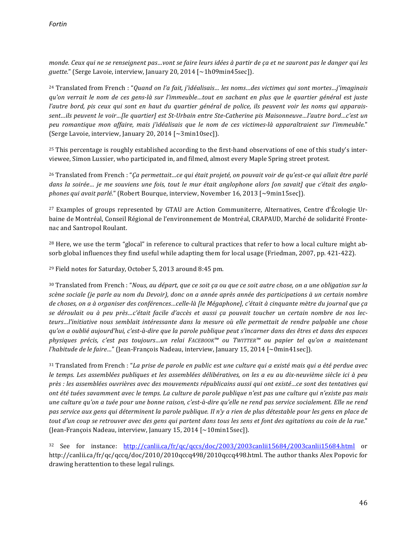*monde.* Ceux qui ne se renseignent pas...vont se faire leurs idées à partir de ça et ne sauront pas le danger qui les *guette.*" (Serge Lavoie, interview, January 20, 2014 [~1h09min45sec]).

<sup>24</sup> Translated from French : "*Quand on l'a fait, j'idéalisais... les noms...des victimes qui sont mortes...j'imaginais qu'on verrait le nom de ces gens-là sur l'immeuble…tout en sachant en plus que le quartier général est juste l'autre bord, pis ceux qui sont en haut du quartier général de police, ils peuvent voir les noms qui apparais*sent…ils peuvent le voir…[le quartier] est St-Urbain entre Ste-Catherine pis Maisonneuve…l'autre bord…c'est un *peu romantique mon affaire, mais j'idéalisais que le nom de ces victimes-là apparaîtraient sur l'immeuble.*" (Serge Lavoie, interview, January 20, 2014  $[\sim 3$ min10sec]).

<sup>25</sup> This percentage is roughly established according to the first-hand observations of one of this study's interviewee, Simon Lussier, who participated in, and filmed, almost every Maple Spring street protest.

<sup>26</sup> Translated from French : "*Ça permettait...ce qui était projeté, on pouvait voir de qu'est-ce qui allait être parlé* dans la soirée... je me souviens une fois, tout le mur était anglophone alors [on savait] que c'était des anglo*phones qui avait parlé."* (Robert Bourque, interview, November 16, 2013 [~9min15sec]).

<sup>27</sup> Examples of groups represented by GTAU are Action Communiterre, Alternatives, Centre d'Écologie Urbaine de Montréal, Conseil Régional de l'environnement de Montréal, CRAPAUD, Marché de solidarité Frontenac and Santropol Roulant.

<sup>28</sup> Here, we use the term "glocal" in reference to cultural practices that refer to how a local culture might absorb global influences they find useful while adapting them for local usage (Friedman, 2007, pp. 421-422).

<sup>29</sup> Field notes for Saturday, October 5, 2013 around 8:45 pm.

<sup>30</sup> Translated from French : "*Nous, au départ, que ce soit ça ou que ce soit autre chose, on a une obligation sur la scène sociale (je parle au nom du Devoir), donc on a année après année des participations à un certain nombre*  de choses, on a à organiser des conférences…celle-là [le Mégaphone], c'était à cinquante mètre du journal que ça se déroulait ou à peu près...c'était facile d'accès et aussi ça pouvait toucher un certain nombre de nos lec*teurs...l'initiative nous semblait intéressante dans la mesure où elle permettait de rendre palpable une chose qu'on a oublié aujourd'hui, c'est-à-dire que la parole publique peut s'incarner dans des êtres et dans des espaces physiques précis, c'est pas toujours…un relai FACEBOOK™ ou TWITTER™ ou papier tel qu'on a maintenant l'habitude de le faire…*" (Jean-François Nadeau, interview, January 15, 2014 [~0min41sec]).

<sup>31</sup> Translated from French : "La prise de parole en public est une culture qui a existé mais qui a été perdue avec le temps. Les assemblées publiques et les assemblées délibératives, on les a eu au dix-neuvième siècle ici à peu près : les assemblées ouvrières avec des mouvements républicains aussi qui ont existé…ce sont des tentatives qui ont été tuées savamment avec le temps. La culture de parole publique n'est pas une culture qui n'existe pas mais *une culture qu'on a tuée pour une bonne raison, c'est-à-dire qu'elle ne rend pas service socialement. Elle ne rend* pas service aux gens qui déterminent la parole publique. Il n'y a rien de plus détestable pour les gens en place de tout d'un coup se retrouver avec des gens qui partent dans tous les sens et font des agitations au coin de la rue." (Jean-François Nadeau, interview, January 15, 2014  $\lceil$  ~10min15sec]).

<sup>32</sup> See for instance: http://canlii.ca/fr/qc/qccs/doc/2003/2003canlii15684/2003canlii15684.html or http://canlii.ca/fr/qc/qccq/doc/2010/2010qccq498/2010qccq498.html. The author thanks Alex Popovic for drawing herattention to these legal rulings.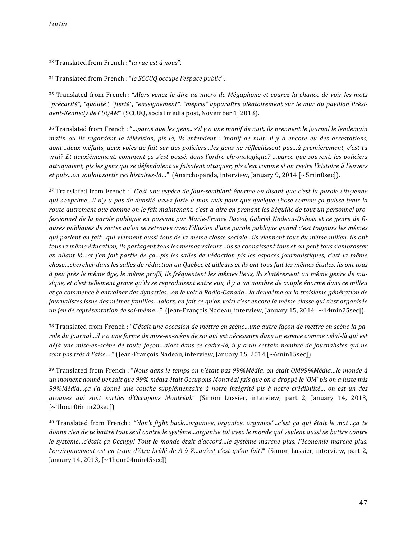<sup>33</sup> Translated from French : "*la rue est à nous*".

<sup>34</sup> Translated from French : "le SCCUQ occupe l'espace public".

<sup>35</sup> Translated from French : "*Alors venez le dire au micro de Mégaphone et courez la chance de voir les mots* "précarité", "qualité", "fierté", "enseignement", "mépris" apparaître aléatoirement sur le mur du pavillon Prési*dent-Kennedy de l'UQAM"* (SCCUQ, social media post, November 1, 2013).

36 Translated from French : "*…parce que les gens…s'il y a une manif de nuit, ils prennent le journal le lendemain matin* ou ils regardent la télévision, pis là, ils entendent : 'manif de nuit...il y a encore eu des arrestations, dont...deux méfaits, deux voies de fait sur des policiers...les gens ne réfléchissent pas...à premièrement, c'est-tu *vrai?* Et deuxièmement, comment ça s'est passé, dans l'ordre chronologique? …parce que souvent, les policiers attaquaient, pis les gens qui se défendaient se faisaient attaquer, pis c'est comme si on revire l'histoire à l'envers *et puis…on voulait sortir ces histoires-là…*" (Anarchopanda, interview, January 9, 2014 [~5min0sec]).

<sup>37</sup> Translated from French : "*C'est une espèce de faux-semblant énorme en disant que c'est la parole citoyenne qui s'exprime…il n'y a pas de densité assez forte à mon avis pour que quelque chose comme ça puisse tenir la* route autrement que comme on le fait maintenant, c'est-à-dire en prenant les béquille de tout un personnel professionnel de la parole publique en passant par Marie-France Bazzo, Gabriel Nadeau-Dubois et ce genre de fi*gures* publiques de sortes qu'on se retrouve avec l'illusion d'une parole publique quand c'est toujours les mêmes *qui* parlent en fait…qui viennent aussi tous de la même classe sociale…ils viennent tous du même milieu, ils ont *tous la même éducation, ils partagent tous les mêmes valeurs…ils se connaissent tous et on peut tous s'embrasser* en allant là…et j'en fait partie de ça…pis les salles de rédaction pis les espaces journalistiques, c'est la même *chose…chercher dans les salles de rédaction au Québec et ailleurs et ils ont tous fait les mêmes études, ils ont tous à peu près le même âge, le même profil, ils fréquentent les mêmes lieux, ils s'intéressent au même genre de mu*sique, et c'est tellement grave qu'ils se reproduisent entre eux, il y a un nombre de couple énorme dans ce milieu et ça commence à entraîner des dynasties…on le voit à Radio-Canada…la deuxième ou la troisième génération de journalistes issue des mêmes familles…[alors, en fait ce qu'on voit] c'est encore la même classe qui s'est organisée *un jeu de représentation de soi-même...*" (Jean-François Nadeau, interview, January 15, 2014 [~14min25sec]).

38 Translated from French : "*C'était une occasion de mettre en scène...une autre façon de mettre en scène la pa*role du journal…il y a une forme de mise-en-scène de soi qui est nécessaire dans un espace comme celui-là qui est déjà une mise-en-scène de toute façon...alors dans ce cadre-là, il y a un certain nombre de journalistes qui ne *sont pas très à l'aise...* " (Jean-François Nadeau, interview, January 15, 2014 [~6min15sec])

<sup>39</sup> Translated from French : "*Nous dans le temps on n'était pas 99%Média, on était OM99%Média...le monde à un* moment donné pensait que 99% média était Occupons Montréal fais que on a droppé le 'OM' pis on a juste mis 99%Média…ça l'a donné une couche supplémentaire à notre intégrité pis à notre crédibilité… on est un des *groupes qui sont sorties d'Occupons Montréal.*" (Simon Lussier, interview, part 2, January 14, 2013, [~1hour06min20sec])

<sup>40</sup> Translated from French : "'don't fight back...organize, organize, organize'...c'est ça qui était le mot...ça te *donne rien de te battre tout seul contre le système…organise toi avec le monde qui veulent aussi se battre contre le système…c'était ça Occupy! Tout le monde était d'accord…le système marche plus, l'économie marche plus, l'environnement est en train d'être brûlé de A à Z…qu'est-c'est qu'on fait?"* (Simon Lussier, interview, part 2, January 14, 2013, [~1hour04min45sec])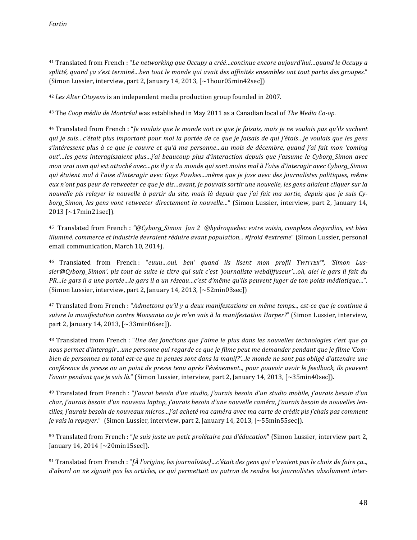<sup>41</sup> Translated from French : "Le networking que Occupy a créé...continue encore aujourd'hui...quand le Occupy a splitté, quand ca s'est terminé...ben tout le monde qui avait des affinités ensembles ont tout partis des groupes." (Simon Lussier, interview, part 2, January 14, 2013,  $\lceil \sim 1 \text{hour05min42sec} \rceil$ )

<sup>42</sup> Les Alter Citoyens is an independent media production group founded in 2007.

<sup>43</sup> The *Coop* média de Montréal was established in May 2011 as a Canadian local of *The Media Co-op*.

<sup>44</sup> Translated from French : "*Je voulais que le monde voit ce que je faisais, mais je ne voulais pas qu'ils sachent qui* je suis…c'était plus important pour moi la portée de ce que je faisais de qui j'étais…je voulais que les gens s'intéressent plus à ce que je couvre et qu'à ma personne…au mois de décembre, quand j'ai fait mon 'coming out'…les gens interagissaient plus…j'ai beaucoup plus d'interaction depuis que j'assume le Cyborg\_Simon avec *mon vrai nom qui est attaché avec...pis il y a du monde qui sont moins mal à l'aise d'interagir avec Cyborg\_Simon qui étaient mal à l'aise d'interagir avec Guys Fawkes…même que je jase avec des journalistes politiques, même*  eux n'ont pas peur de retweeter ce que je dis…avant, je pouvais sortir une nouvelle, les gens allaient cliquer sur la nouvelle pis relayer la nouvelle à partir du site, mais là depuis que j'ai fait ma sortie, depuis que je suis Cy*borg\_Simon, les gens vont retweeter directement la nouvelle...*" (Simon Lussier, interview, part 2, January 14,  $2013$  [~17min21sec]).

<sup>45</sup> Translated from French : "@Cyborg\_Simon *Jan 2* @hydroquebec votre voisin, complexe desjardins, est bien *illuminé. commerce et industrie devraient réduire avant population... #froid #extreme*" (Simon Lussier, personal email communication, March 10, 2014).

<sup>46</sup> Translated from French: "euuu...oui, ben' quand ils lisent mon profil TWITTER™, 'Simon Lussier@Cyborg Simon', pis tout de suite le titre qui suit c'est 'journaliste webdiffuseur'…oh, aie! le gars il fait du *PR…le gars il a une portée…le gars il a un réseau…c'est d'même qu'ils peuvent juger de ton poids médiatique…"*. (Simon Lussier, interview, part 2, January 14, 2013,  $\left[\sim 52 \text{min}03 \text{sec}\right]$ )

<sup>47</sup> Translated from French : "Admettons qu'il y a deux manifestations en même temps.., est-ce que je continue à *suivre la manifestation contre Monsanto ou je m'en vais à la manifestation Harper?"* (Simon Lussier, interview, part 2, January 14, 2013,  $[~33 \text{min06sec}]$ .

<sup>48</sup> Translated from French : "Une des fonctions que j'aime le plus dans les nouvelles technologies c'est que ça nous permet d'interagir…une personne qui regarde ce que je filme peut me demander pendant que je filme 'Com*bien* de personnes au total est-ce que tu penses sont dans la manif?'...le monde ne sont pas obligé d'attendre une *conférence de presse ou un point de presse tenu après l'événement.., pour pouvoir avoir le feedback, ils peuvent l'avoir pendant que je suis là.*" (Simon Lussier, interview, part 2, January 14, 2013, [~35min40sec]).

<sup>49</sup> Translated from French : "*J'aurai besoin d'un studio, j'aurais besoin d'un studio mobile, j'aurais besoin d'un* char, j'aurais besoin d'un nouveau laptop, j'aurais besoin d'une nouvelle caméra, j'aurais besoin de nouvelles lentilles, j'aurais besoin de nouveaux micros…j'ai acheté ma caméra avec ma carte de crédit pis j'chais pas comment *je* vais la repayer." (Simon Lussier, interview, part 2, January 14, 2013, [~55min55sec]).

50 Translated from French : "*Je suis juste un petit prolétaire pas d'éducation*" (Simon Lussier, interview part 2, January 14, 2014 [~20min15sec]).

 $51$  Translated from French : "*[À l'origine, les journalistes]...c'était des gens qui n'avaient pas le choix de faire ça.., d'abord* on ne signait pas les articles, ce qui permettait au patron de rendre les journalistes absolument inter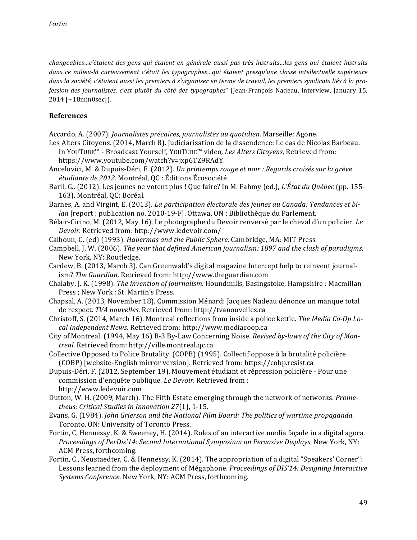changeables…c'étaient des gens qui étaient en générale aussi pas très instruits…les gens qui étaient instruits dans ce milieu-là curieusement c'était les typographes…qui étaient presqu'une classe intellectuelle supérieure dans la société, c'étaient aussi les premiers à s'organiser en terme de travail, les premiers syndicats liés à la pro*fession des journalistes, c'est plutôt du côté des typographes*" (Jean-François Nadeau, interview, January 15,  $2014$  [~18min0sec]).

## **References**

- Accardo, A. (2007). *Journalistes précaires, journalistes au quotidien*. Marseille: Agone.
- Les Alters Citoyens. (2014, March 8). Judiciarisation de la dissendence: Le cas de Nicolas Barbeau. In YOUTUBE™ - Broadcast Yourself, YOUTUBE™ video, Les Alters Citoyens, Retrieved from: https://www.youtube.com/watch?v=jxp6TZ9RAdY.
- Ancelovici, M. & Dupuis-Déri, F. (2012). *Un printemps rouge et noir : Regards croisés sur la grève étudiante de 2012*. Montréal, QC : Éditions Écosociété.
- Baril, G.. (2012). Les jeunes ne votent plus ! Que faire? In M. Fahmy (ed.), *L'État du Québec* (pp. 155-163). Montréal, QC: Boréal.
- Barnes, A. and Virgint, E. (2013). *La participation électorale des jeunes au Canada: Tendances et bilan* [report : publication no. 2010-19-F]. Ottawa, ON : Bibliothèque du Parlement.
- Bélair-Cirino, M. (2012, May 16). Le photographe du Devoir renversé par le cheval d'un policier. *Le Devoir*. Retrieved from: http://www.ledevoir.com/
- Calhoun, C. (ed) (1993). *Habermas and the Public Sphere*. Cambridge, MA: MIT Press.
- Campbell, J. W. (2006). *The year that defined American journalism:* 1897 and the clash of paradigms. New York, NY: Routledge.
- Cardew, B. (2013, March 3). Can Greenwald's digital magazine Intercept help to reinvent journalism? The Guardian. Retrieved from: http://www.theguardian.com
- Chalaby, J. K. (1998). *The invention of journalism*. Houndmills, Basingstoke, Hampshire : Macmillan Press ; New York : St. Martin's Press.
- Chapsal, A. (2013, November 18). Commission Ménard: Jacques Nadeau dénonce un manque total de respect. TVA nouvelles. Retrieved from: http://tvanouvelles.ca
- Christoff, S. (2014, March 16). Montreal reflections from inside a police kettle. *The Media Co-Op Local Independent News*. Retrieved from: http://www.mediacoop.ca
- City of Montreal. (1994, May 16) B-3 By-Law Concerning Noise. *Revised by-laws of the City of Montreal*. Retrieved from: http://ville.montreal.qc.ca
- Collective Opposed to Police Brutality. (COPB) (1995). Collectif oppose à la brutalité policière (COBP) [website-English mirror version]. Retrieved from: https://cobp.resist.ca
- Dupuis-Déri, F. (2012, September 19). Mouvement étudiant et répression policière Pour une commission d'enquête publique. Le Devoir. Retrieved from : http://www.ledevoir.com
- Dutton, W. H. (2009, March). The Fifth Estate emerging through the network of networks. *Prometheus: Critical Studies in Innovation 27*(1), 1-15.
- Evans, G. (1984). *John Grierson and the National Film Board: The politics of wartime propaganda.* Toronto, ON: University of Toronto Press.
- Fortin, C, Hennessy, K. & Sweeney, H. (2014). Roles of an interactive media façade in a digital agora. *Proceedings of PerDis'14: Second International Symposium on Pervasive Displays*, New York, NY: ACM Press, forthcoming.
- Fortin, C., Neustaedter, C. & Hennessy, K. (2014). The appropriation of a digital "Speakers' Corner": Lessons learned from the deployment of Mégaphone. *Proceedings of DIS'14: Designing Interactive Systems Conference*. New York, NY: ACM Press, forthcoming.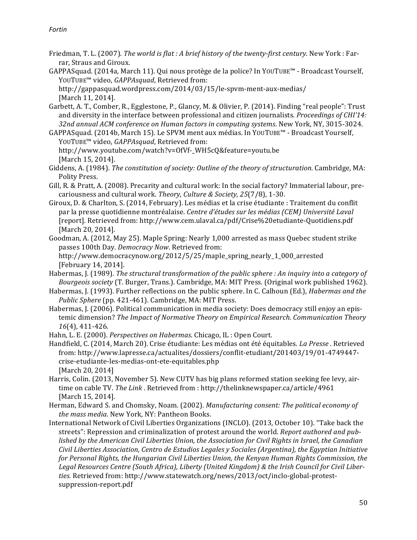- Friedman, T. L. (2007). *The world is flat : A brief history of the twenty-first century*. New York : Farrar, Straus and Giroux.
- GAPPASquad. (2014a, March 11). Qui nous protège de la police? In YOUTUBE™ Broadcast Yourself, YOUTUBE™ video, *GAPPAsquad*, Retrieved from:

http://gappasquad.wordpress.com/2014/03/15/le-spvm-ment-aux-medias/ [March 11, 2014].

- Garbett, A. T., Comber, R., Egglestone, P., Glancy, M. & Olivier, P. (2014). Finding "real people": Trust and diversity in the interface between professional and citizen journalists. *Proceedings of CHI'14:* 32nd annual ACM conference on Human factors in computing systems. New York, NY, 3015-3024.
- GAPPASquad. (2014b, March 15). Le SPVM ment aux médias. In YOUTUBE™ Broadcast Yourself, YOUTUBE™ video, *GAPPAsquad*, Retrieved from:

http://www.youtube.com/watch?v=OfVf-\_WH5cQ&feature=youtu.be [March 15, 2014].

- Giddens, A. (1984). *The constitution of society: Outline of the theory of structuration*. Cambridge, MA: Polity Press.
- Gill, R. & Pratt, A. (2008). Precarity and cultural work: In the social factory? Immaterial labour, precariousness and cultural work. *Theory, Culture & Society, 25*(7/8), 1-30.
- Giroux, D. & Charlton, S. (2014, February). Les médias et la crise étudiante : Traitement du conflit par la presse quotidienne montréalaise. *Centre d'études sur les médias (CEM)* Université Laval [report]. Retrieved from: http://www.cem.ulaval.ca/pdf/Crise%20etudiante-Quotidiens.pdf [March 20, 2014].
- Goodman, A. (2012, May 25). Maple Spring: Nearly 1,000 arrested as mass Quebec student strike passes 100th Day. *Democracy Now*. Retrieved from: http://www.democracynow.org/2012/5/25/maple\_spring\_nearly\_1\_000\_arrested
- [February 14, 2014]. Habermas, J. (1989). *The structural transformation of the public sphere : An inquiry into a category of Bourgeois society* (T. Burger, Trans.). Cambridge, MA: MIT Press. (Original work published 1962).
- Habermas, J. (1993). Further reflections on the public sphere. In C. Calhoun (Ed.), *Habermas and the Public Sphere* (pp. 421-461). Cambridge, MA: MIT Press.
- Habermas, J. (2006). Political communication in media society: Does democracy still enjoy an epistemic dimension? The Impact of Normative Theory on Empirical Research. Communication Theory 16<sup>(4)</sup>, 411-426.

Hahn, L. E. (2000). *Perspectives on Habermas*. Chicago, IL : Open Court.

- Handfield, C. (2014, March 20). Crise étudiante: Les médias ont été équitables. *La Presse* . Retrieved from: http://www.lapresse.ca/actualites/dossiers/conflit-etudiant/201403/19/01-4749447 crise-etudiante-les-medias-ont-ete-equitables.php [March 20, 2014]
- Harris, Colin. (2013, November 5). New CUTV has big plans reformed station seeking fee levy, airtime on cable TV. The Link . Retrieved from : http://thelinknewspaper.ca/article/4961 [March 15, 2014].
- Herman, Edward S. and Chomsky, Noam. (2002). *Manufacturing consent: The political economy of the mass media*. New York, NY: Pantheon Books.
- International Network of Civil Liberties Organizations (INCLO). (2013, October 10). "Take back the streets": Repression and criminalization of protest around the world. *Report authored and published by the American Civil Liberties Union, the Association for Civil Rights in Israel, the Canadian Civil Liberties Association, Centro de Estudios Legales y Sociales (Argentina), the Egyptian Initiative* for Personal Rights, the Hungarian Civil Liberties Union, the Kenyan Human Rights Commission, the Legal Resources Centre (South Africa), Liberty (United Kingdom) & the Irish Council for Civil Liberties. Retrieved from: http://www.statewatch.org/news/2013/oct/inclo-global-protestsuppression-report.pdf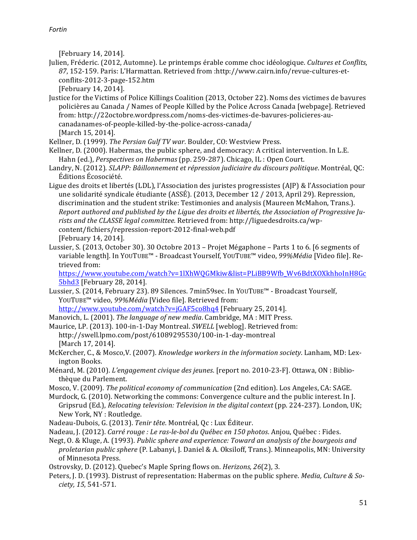[February 14, 2014].

Julien, Fréderic. (2012, Automne). Le printemps érable comme choc idéologique. Cultures et Conflits, 87, 152-159. Paris: L'Harmattan. Retrieved from :http://www.cairn.info/revue-cultures-etconflits-2012-3-page-152.htm

[February 14, 2014].

Justice for the Victims of Police Killings Coalition (2013, October 22). Noms des victimes de bavures policières au Canada / Names of People Killed by the Police Across Canada [webpage]. Retrieved from: http://22octobre.wordpress.com/noms-des-victimes-de-bavures-policieres-aucanadanames-of-people-killed-by-the-police-across-canada/ [March 15, 2014].

Kellner, D. (1999). *The Persian Gulf TV war*. Boulder, CO: Westview Press.

- Kellner, D. (2000). Habermas, the public sphere, and democracy: A critical intervention. In L.E. Hahn (ed.), *Perspectives on Habermas* (pp. 259-287). Chicago, IL : Open Court.
- Landry, N. (2012). *SLAPP: Bâillonnement et répression judiciaire du discours politique*. Montréal, QC: Éditions Écosociété.
- Ligue des droits et libertés (LDL), l'Association des juristes progressistes (AJP) & l'Association pour une solidarité syndicale étudiante (ASSÉ). (2013, December 12 / 2013, April 29). Repression, discrimination and the student strike: Testimonies and analysis (Maureen McMahon, Trans.). *Report authored and published by the Ligue des droits et libertés, the Association of Progressive Ju*rists and the CLASSE legal committee. Retrieved from: http://liguedesdroits.ca/wpcontent/fichiers/repression-report-2012-final-web.pdf [February 14, 2014].
- Lussier, S. (2013, October 30). 30 Octobre 2013 Projet Mégaphone Parts 1 to 6. [6 segments of variable length]. In YOUTUBE<sup>™</sup> - Broadcast Yourself, YOUTUBE™ video, 99%Média [Video file]. Retrieved from:

https://www.youtube.com/watch?v=1lXhWQGMkiw&list=PLiBB9Wfb\_Wv6BdtXOXkhhoInH8Gc 5bhd3 [February 28, 2014].

- Lussier, S. (2014, February 23). 89 Silences. 7min59sec. In YOUTUBE™ Broadcast Yourself, YOUTUBE™ video, 99%Média [Video file]. Retrieved from: http://www.youtube.com/watch?v=jGAF5co8hq4 [February 25, 2014].
- Manovich, L. (2001). *The language of new media*. Cambridge, MA : MIT Press.
- Maurice, LP. (2013). 100-in-1-Day Montreal. *SWELL* [weblog]. Retrieved from: http://swell.lpmo.com/post/61089295530/100-in-1-day-montreal [March 17, 2014].
- McKercher, C., & Mosco, V. (2007). *Knowledge workers in the information society*. Lanham, MD: Lexington Books.
- Ménard, M. (2010). *L'engagement civique des jeunes*. [report no. 2010-23-F]. Ottawa, ON : Bibliothèque du Parlement.
- Mosco, V. (2009). *The political economy of communication* (2nd edition). Los Angeles, CA: SAGE.
- Murdock, G. (2010). Networking the commons: Convergence culture and the public interest. In J. Gripsrud (Ed.), *Relocating television: Television in the digital context* (pp. 224-237). London, UK; New York, NY : Routledge.
- Nadeau-Dubois, G. (2013). Tenir tête. Montréal, Qc : Lux Éditeur.
- Nadeau, J. (2012). *Carré rouge : Le ras-le-bol du Ouébec en 150 photos*. Anjou, Ouébec : Fides.
- Negt, O. & Kluge, A. (1993). *Public sphere and experience: Toward an analysis of the bourgeois and* proletarian public sphere (P. Labanyi, J. Daniel & A. Oksiloff, Trans.). Minneapolis, MN: University of Minnesota Press.

Ostrovsky, D. (2012). Quebec's Maple Spring flows on. *Herizons*, 26(2), 3.

Peters, J. D. (1993). Distrust of representation: Habermas on the public sphere. *Media, Culture & Society, 15*, 541-571.